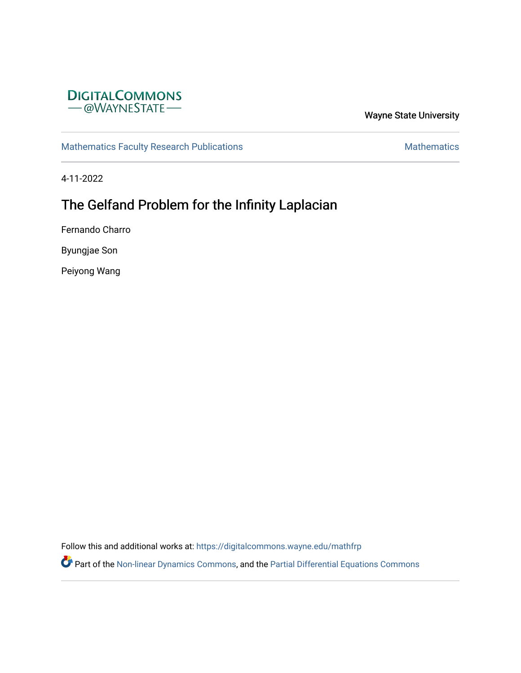

Wayne State University

[Mathematics Faculty Research Publications](https://digitalcommons.wayne.edu/mathfrp) **Mathematics** Mathematics

4-11-2022

# The Gelfand Problem for the Infinity Laplacian

Fernando Charro

Byungjae Son

Peiyong Wang

Follow this and additional works at: [https://digitalcommons.wayne.edu/mathfrp](https://digitalcommons.wayne.edu/mathfrp?utm_source=digitalcommons.wayne.edu%2Fmathfrp%2F73&utm_medium=PDF&utm_campaign=PDFCoverPages) 

Part of the [Non-linear Dynamics Commons,](https://network.bepress.com/hgg/discipline/118?utm_source=digitalcommons.wayne.edu%2Fmathfrp%2F73&utm_medium=PDF&utm_campaign=PDFCoverPages) and the [Partial Differential Equations Commons](https://network.bepress.com/hgg/discipline/120?utm_source=digitalcommons.wayne.edu%2Fmathfrp%2F73&utm_medium=PDF&utm_campaign=PDFCoverPages)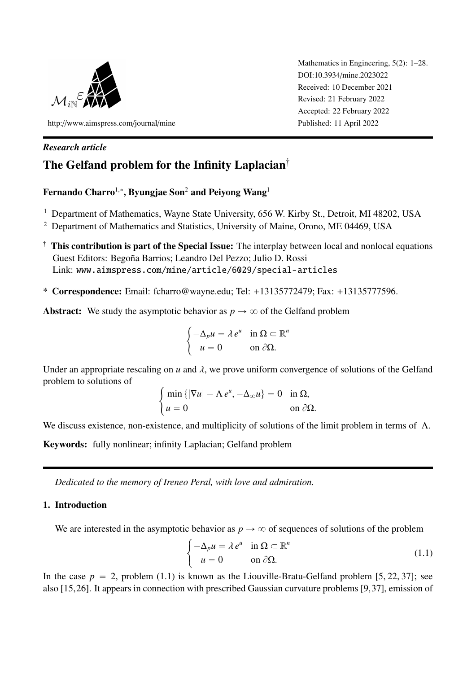

http://[www.aimspress.com](http://www.aimspress.com/journal/mine)/journal/mine

Mathematics in Engineering, 5(2): 1–28. DOI:10.3934/[mine.2023022](http://dx.doi.org/10.3934/mine.2023022) Received: 10 December 2021 Revised: 21 February 2022 Accepted: 22 February 2022 Published: 11 April 2022

## *Research article* The Gelfand problem for the Infinity Laplacian<sup>†</sup>

## Fernando Charro $^{1,*}$ , Byungjae Son $^2$  and Peiyong Wang $^1$

- <sup>1</sup> Department of Mathematics, Wayne State University, 656 W. Kirby St., Detroit, MI 48202, USA
- <sup>2</sup> Department of Mathematics and Statistics, University of Maine, Orono, ME 04469, USA
- $\dagger$  This contribution is part of the Special Issue: The interplay between local and nonlocal equations Guest Editors: Begoña Barrios; Leandro Del Pezzo; Julio D. Rossi Link: <www.aimspress.com/mine/article/6029/special-articles>
- \* Correspondence: Email: fcharro@wayne.edu; Tel: +13135772479; Fax: +13135777596.

Abstract: We study the asymptotic behavior as  $p \to \infty$  of the Gelfand problem

$$
\begin{cases}\n-\Delta_p u = \lambda e^u & \text{in } \Omega \subset \mathbb{R}^n \\
u = 0 & \text{on } \partial\Omega.\n\end{cases}
$$

Under an appropriate rescaling on  $u$  and  $\lambda$ , we prove uniform convergence of solutions of the Gelfand problem to solutions of #

$$
\begin{cases} \min \{ |\nabla u| - \Lambda e^u, -\Delta_{\infty} u \} = 0 & \text{in } \Omega, \\ u = 0 & \text{on } \partial \Omega. \end{cases}
$$

We discuss existence, non-existence, and multiplicity of solutions of the limit problem in terms of Λ.

Keywords: fully nonlinear; infinity Laplacian; Gelfand problem

*Dedicated to the memory of Ireneo Peral, with love and admiration.*

## 1. Introduction

We are interested in the asymptotic behavior as  $p \to \infty$  of sequences of solutions of the problem

<span id="page-1-0"></span>
$$
\begin{cases}\n-\Delta_p u = \lambda e^u & \text{in } \Omega \subset \mathbb{R}^n \\
u = 0 & \text{on } \partial \Omega.\n\end{cases}
$$
\n(1.1)

In the case  $p = 2$ , problem [\(1.1\)](#page-1-0) is known as the Liouville-Bratu-Gelfand problem [\[5,](#page-26-0) [22,](#page-27-0) [37\]](#page-28-0); see also [\[15,](#page-27-1)[26\]](#page-27-2). It appears in connection with prescribed Gaussian curvature problems [\[9,](#page-26-1)[37\]](#page-28-0), emission of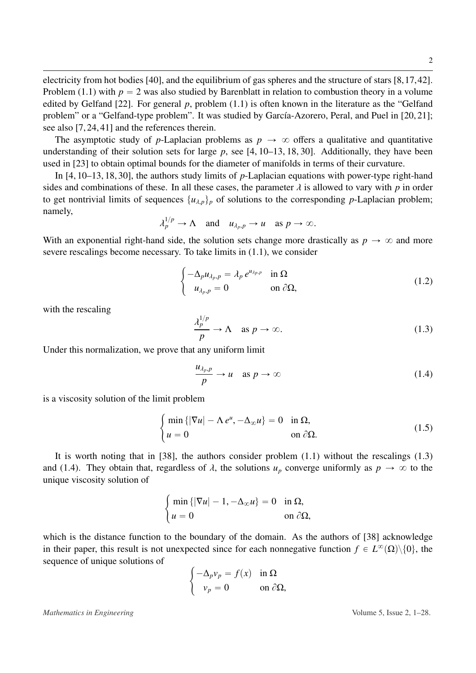electricity from hot bodies [\[40\]](#page-28-1), and the equilibrium of gas spheres and the structure of stars [\[8,](#page-26-2)[17,](#page-27-3)[42\]](#page-28-2). Problem [\(1.1\)](#page-1-0) with  $p = 2$  was also studied by Barenblatt in relation to combustion theory in a volume edited by Gelfand [\[22\]](#page-27-0). For general *p*, problem [\(1.1\)](#page-1-0) is often known in the literature as the "Gelfand problem" or a "Gelfand-type problem". It was studied by García-Azorero, Peral, and Puel in [\[20,](#page-27-4) [21\]](#page-27-5); see also [\[7,](#page-26-3) [24,](#page-27-6) [41\]](#page-28-3) and the references therein.

The asymptotic study of *p*-Laplacian problems as  $p \to \infty$  offers a qualitative and quantitative understanding of their solution sets for large *p*, see [\[4,](#page-26-4) [10–](#page-26-5)[13,](#page-27-7) [18,](#page-27-8) [30\]](#page-28-4). Additionally, they have been used in [\[23\]](#page-27-9) to obtain optimal bounds for the diameter of manifolds in terms of their curvature.

In [\[4,](#page-26-4) [10–](#page-26-5)[13,](#page-27-7) [18,](#page-27-8) [30\]](#page-28-4), the authors study limits of *p*-Laplacian equations with power-type right-hand sides and combinations of these. In all these cases, the parameter  $\lambda$  is allowed to vary with  $p$  in order to get nontrivial limits of sequences  $\{u_{\lambda,p}\}_p$  of solutions to the corresponding *p*-Laplacian problem; namely,  $\frac{1}{2}$ 

$$
\lambda_p^{1/p} \to \Lambda \quad \text{and} \quad u_{\lambda_p, p} \to u \quad \text{as } p \to \infty.
$$

With an exponential right-hand side, the solution sets change more drastically as  $p \to \infty$  and more severe rescalings become necessary. To take limits in [\(1.1\)](#page-1-0), we consider

<span id="page-2-2"></span>
$$
\begin{cases}\n-\Delta_p u_{\lambda_p, p} = \lambda_p e^{u_{\lambda_p, p}} & \text{in } \Omega \\
u_{\lambda_p, p} = 0 & \text{on } \partial \Omega,\n\end{cases}
$$
\n(1.2)

with the rescaling

<span id="page-2-0"></span>
$$
\frac{\lambda_p^{1/p}}{p} \to \Lambda \quad \text{as } p \to \infty. \tag{1.3}
$$

Under this normalization, we prove that any uniform limit

#

#

<span id="page-2-1"></span>
$$
\frac{u_{\lambda_p, p}}{p} \to u \quad \text{as } p \to \infty \tag{1.4}
$$

is a viscosity solution of the limit problem

<span id="page-2-3"></span>
$$
\begin{cases} \min\left\{ |\nabla u| - \Lambda e^u, -\Delta_{\infty} u \right\} = 0 & \text{in } \Omega, \\ u = 0 & \text{on } \partial \Omega. \end{cases}
$$
 (1.5)

It is worth noting that in [\[38\]](#page-28-5), the authors consider problem [\(1.1\)](#page-1-0) without the rescalings [\(1.3\)](#page-2-0) and [\(1.4\)](#page-2-1). They obtain that, regardless of  $\lambda$ , the solutions  $u_p$  converge uniformly as  $p \to \infty$  to the unique viscosity solution of

$$
\begin{cases} \min\left\{ |\nabla u| - 1, -\Delta_{\infty} u \right\} = 0 & \text{in } \Omega, \\ u = 0 & \text{on } \partial \Omega, \end{cases}
$$

which is the distance function to the boundary of the domain. As the authors of [\[38\]](#page-28-5) acknowledge in their paper, this result is not unexpected since for each nonnegative function  $f \in L^{\infty}(\Omega) \setminus \{0\}$ , the sequence of unique solutions of #

$$
\begin{cases}\n-\Delta_p v_p = f(x) & \text{in } \Omega \\
v_p = 0 & \text{on } \partial \Omega,\n\end{cases}
$$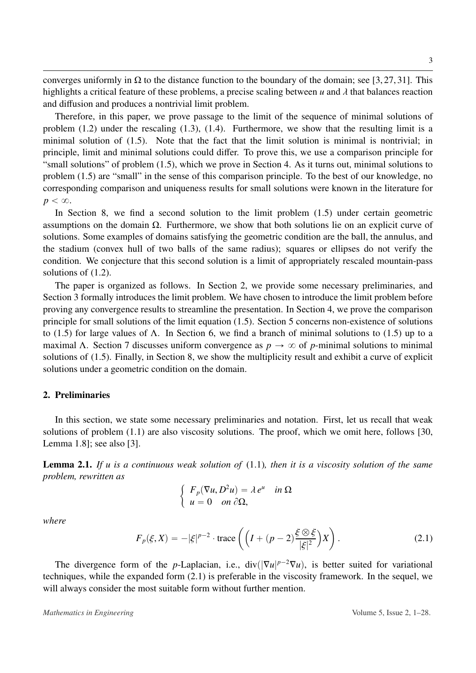converges uniformly in  $\Omega$  to the distance function to the boundary of the domain; see [\[3,](#page-26-6)[27,](#page-27-10) [31\]](#page-28-6). This highlights a critical feature of these problems, a precise scaling between *<sup>u</sup>* and λ that balances reaction and diffusion and produces a nontrivial limit problem.

Therefore, in this paper, we prove passage to the limit of the sequence of minimal solutions of problem [\(1.2\)](#page-2-2) under the rescaling [\(1.3\)](#page-2-0), [\(1.4\)](#page-2-1). Furthermore, we show that the resulting limit is a minimal solution of [\(1.5\)](#page-2-3). Note that the fact that the limit solution is minimal is nontrivial; in principle, limit and minimal solutions could differ. To prove this, we use a comparison principle for "small solutions" of problem [\(1.5\)](#page-2-3), which we prove in Section [4.](#page-7-0) As it turns out, minimal solutions to problem [\(1.5\)](#page-2-3) are "small" in the sense of this comparison principle. To the best of our knowledge, no corresponding comparison and uniqueness results for small solutions were known in the literature for  $p < \infty$ .

In Section [8,](#page-21-0) we find a second solution to the limit problem [\(1.5\)](#page-2-3) under certain geometric assumptions on the domain Ω. Furthermore, we show that both solutions lie on an explicit curve of solutions. Some examples of domains satisfying the geometric condition are the ball, the annulus, and the stadium (convex hull of two balls of the same radius); squares or ellipses do not verify the condition. We conjecture that this second solution is a limit of appropriately rescaled mountain-pass solutions of [\(1.2\)](#page-2-2).

The paper is organized as follows. In Section [2,](#page-3-0) we provide some necessary preliminaries, and Section [3](#page-5-0) formally introduces the limit problem. We have chosen to introduce the limit problem before proving any convergence results to streamline the presentation. In Section [4,](#page-7-0) we prove the comparison principle for small solutions of the limit equation [\(1.5\)](#page-2-3). Section [5](#page-12-0) concerns non-existence of solutions to [\(1.5\)](#page-2-3) for large values of Λ. In Section [6,](#page-15-0) we find a branch of minimal solutions to [\(1.5\)](#page-2-3) up to a maximal Λ. Section [7](#page-17-0) discusses uniform convergence as  $p \to \infty$  of *p*-minimal solutions to minimal solutions of [\(1.5\)](#page-2-3). Finally, in Section [8,](#page-21-0) we show the multiplicity result and exhibit a curve of explicit solutions under a geometric condition on the domain.

### <span id="page-3-0"></span>2. Preliminaries

In this section, we state some necessary preliminaries and notation. First, let us recall that weak solutions of problem [\(1.1\)](#page-1-0) are also viscosity solutions. The proof, which we omit here, follows [\[30,](#page-28-4) Lemma 1.8]; see also [\[3\]](#page-26-6).

Lemma 2.1. *If u is a continuous weak solution of* [\(1.1\)](#page-1-0)*, then it is a viscosity solution of the same problem, rewritten as* "

$$
\begin{cases}\nF_p(\nabla u, D^2 u) = \lambda e^u & \text{in } \Omega \\
u = 0 & \text{on } \partial \Omega,\n\end{cases}
$$

*where*

<span id="page-3-1"></span>
$$
F_p(\xi, X) = -|\xi|^{p-2} \cdot \text{trace}\left( \left( I + (p-2)\frac{\xi \otimes \xi}{|\xi|^2} \right) X \right). \tag{2.1}
$$

˙

The divergence form of the *p*-Laplacian, i.e., div $(|\nabla u|^{p-2}\nabla u)$ , is better suited for variational techniques, while the expanded form [\(2.1\)](#page-3-1) is preferable in the viscosity framework. In the sequel, we will always consider the most suitable form without further mention.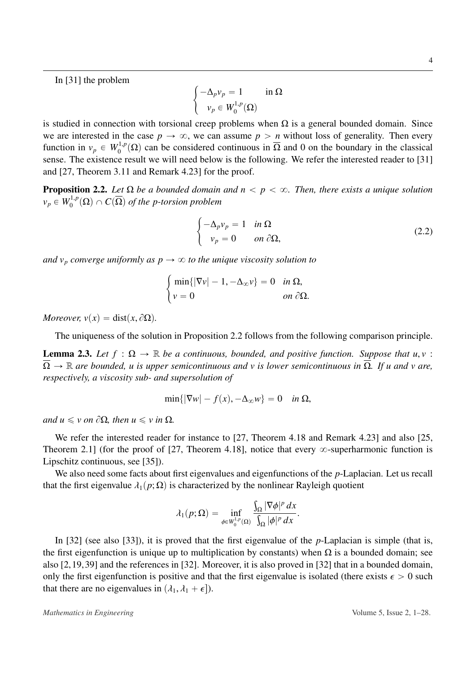4

In [\[31\]](#page-28-6) the problem

$$
\begin{cases}\n-\Delta_p v_p = 1 & \text{in } \Omega \\
v_p \in W_0^{1,p}(\Omega)\n\end{cases}
$$

is studied in connection with torsional creep problems when  $\Omega$  is a general bounded domain. Since we are interested in the case  $p \to \infty$ , we can assume  $p > n$  without loss of generality. Then every function in  $v_p \in W_0^{1,p}(\Omega)$  can be considered continuous in  $\overline{\Omega}$  and 0 on the boundary in the classical sense. The existence result we will need below is the following. We refer the interested reader to [\[31\]](#page-28-6) and [\[27,](#page-27-10) Theorem 3.11 and Remark 4.23] for the proof.

<span id="page-4-0"></span>**Proposition 2.2.** Let  $\Omega$  *be a bounded domain and n*  $\lt p \lt \infty$ . Then, there exists a unique solution  $v_p \in W_0^{1,p}(\Omega) \cap C(\overline{\Omega})$  *of the p-torsion problem* 

<span id="page-4-2"></span>
$$
\begin{cases}\n-\Delta_p v_p = 1 & \text{in } \Omega \\
v_p = 0 & \text{on } \partial \Omega,\n\end{cases}
$$
\n(2.2)

*and*  $v_p$  *converge uniformly as*  $p \rightarrow \infty$  *to the unique viscosity solution to* 

#

$$
\begin{cases} \min\{|\nabla v| - 1, -\Delta_{\infty} v\} = 0 & \text{in } \Omega, \\ v = 0 & \text{on } \partial\Omega. \end{cases}
$$

*Moreover,*  $v(x) = \text{dist}(x, \partial \Omega)$ *.* 

The uniqueness of the solution in Proposition [2.2](#page-4-0) follows from the following comparison principle.

<span id="page-4-1"></span>**Lemma 2.3.** Let  $f : \Omega \to \mathbb{R}$  be a continuous, bounded, and positive function. Suppose that  $u, v$ :  $\Omega \to \mathbb{R}$  are bounded, u is upper semicontinuous and v is lower semicontinuous in  $\overline{\Omega}$ . If u and v are, *respectively, a viscosity sub- and supersolution of*

$$
\min\{|\nabla w| - f(x), -\Delta_{\infty} w\} = 0 \quad \text{in } \Omega,
$$

 $and u \leq v$  *on*  $\partial \Omega$ *, then*  $u \leq v$  *in*  $\Omega$ *.* 

We refer the interested reader for instance to [\[27,](#page-27-10) Theorem 4.18 and Remark 4.23] and also [\[25,](#page-27-11) Theorem 2.1] (for the proof of [\[27,](#page-27-10) Theorem 4.18], notice that every  $\infty$ -superharmonic function is Lipschitz continuous, see [\[35\]](#page-28-7)).

We also need some facts about first eigenvalues and eigenfunctions of the *p*-Laplacian. Let us recall that the first eigenvalue  $\lambda_1(p;\Omega)$  is characterized by the nonlinear Rayleigh quotient

$$
\lambda_1(p;\Omega)=\inf_{\phi\in W_0^{1,p}(\Omega)}\frac{\int_{\Omega}|\nabla\phi|^p\,dx}{\int_{\Omega}|\phi|^p\,dx}.
$$

In [\[32\]](#page-28-8) (see also [\[33\]](#page-28-9)), it is proved that the first eigenvalue of the *p*-Laplacian is simple (that is, the first eigenfunction is unique up to multiplication by constants) when  $\Omega$  is a bounded domain; see also [\[2,](#page-26-7)[19,](#page-27-12)[39\]](#page-28-10) and the references in [\[32\]](#page-28-8). Moreover, it is also proved in [\[32\]](#page-28-8) that in a bounded domain, only the first eigenfunction is positive and that the first eigenvalue is isolated (there exists  $\epsilon > 0$  such that there are no eigenvalues in  $(\lambda_1, \lambda_1 + \epsilon)$ .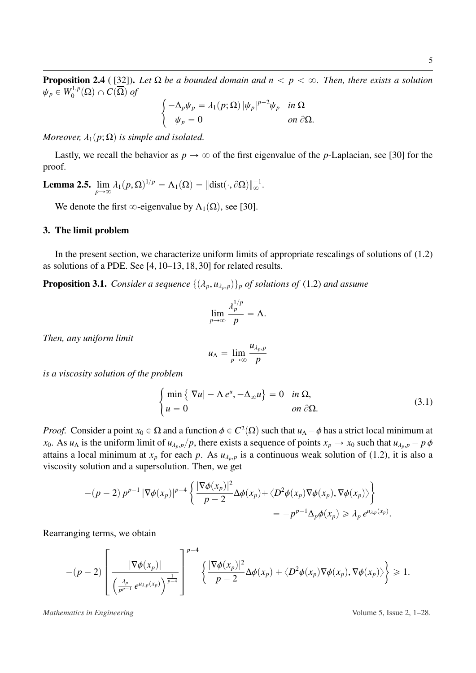**Proposition 2.4** ( [\[32\]](#page-28-8)). Let  $\Omega$  *be a bounded domain and n*  $\lt p \lt \infty$ . Then, there exists a solution  $\psi_p \in W_0^{1,p}(\Omega) \cap C(\overline{\Omega})$  of #

$$
\begin{cases}\n-\Delta_p \psi_p = \lambda_1(p; \Omega) |\psi_p|^{p-2} \psi_p & \text{in } \Omega \\
\psi_p = 0 & \text{on } \partial \Omega.\n\end{cases}
$$

*Moreover,*  $\lambda_1(p;\Omega)$  *is simple and isolated.* 

Lastly, we recall the behavior as  $p \to \infty$  of the first eigenvalue of the *p*-Laplacian, see [\[30\]](#page-28-4) for the proof.

<span id="page-5-2"></span>Lemma 2.5.  $\lim_{p\to\infty} \lambda_1(p,\Omega)^{1/p} = \Lambda_1(\Omega) = ||\text{dist}(\cdot,\partial\Omega)||_{\infty}^{-1}$ .

We denote the first  $\infty$ -eigenvalue by  $\Lambda_1(\Omega)$ , see [\[30\]](#page-28-4).

#### <span id="page-5-0"></span>3. The limit problem

In the present section, we characterize uniform limits of appropriate rescalings of solutions of [\(1.2\)](#page-2-2) as solutions of a PDE. See [\[4,](#page-26-4) [10](#page-26-5)[–13,](#page-27-7) [18,](#page-27-8) [30\]](#page-28-4) for related results.

<span id="page-5-3"></span>**Proposition 3.1.** *Consider a sequence*  $\{(\lambda_p, u_{\lambda_p}, \rho)\}_p$  *of solutions of* [\(1.2\)](#page-2-2) *and assume* 

$$
\lim_{p\to\infty}\frac{\lambda_p^{1/p}}{p}=\Lambda.
$$

*Then, any uniform limit*

$$
u_{\Lambda} = \lim_{p \to \infty} \frac{u_{\lambda_p, p}}{p}
$$

*is a viscosity solution of the problem*

<span id="page-5-1"></span>
$$
\begin{cases}\n\min\left\{|\nabla u| - \Lambda e^u, -\Delta_{\infty} u\right\} = 0 & \text{in } \Omega, \\
u = 0 & \text{on } \partial\Omega.\n\end{cases}
$$
\n(3.1)

*Proof.* Consider a point  $x_0 \in \Omega$  and a function  $\phi \in C^2(\Omega)$  such that  $u_\Lambda - \phi$  has a strict local minimum at  $x_0 \to \Lambda s$  *u*<sub>1</sub> is the uniform limit of *u<sub>1</sub>*  $\pi$  is the uniform limit of *u<sub>1</sub>*  $\pi$  is the uniform lim *x*<sub>0</sub>. As *u*<sub> $\Lambda$ </sub> is the uniform limit of  $u_{\lambda_p,p}/p$ , there exists a sequence of points  $x_p \to x_0$  such that  $u_{\lambda_p,p} - p \phi$ attains a local minimum at  $x_p$  for each p. As  $u_{\lambda_p,p}$  is a continuous weak solution of [\(1.2\)](#page-2-2), it is also a viscosity solution and a supersolution. Then, we get

$$
-(p-2) p^{p-1} |\nabla \phi(x_p)|^{p-4} \left\{ \frac{|\nabla \phi(x_p)|^2}{p-2} \Delta \phi(x_p) + \langle D^2 \phi(x_p) \nabla \phi(x_p), \nabla \phi(x_p) \rangle \right\}
$$
  
=  $-p^{p-1} \Delta_p \phi(x_p) \ge \lambda_p e^{u_{\lambda,p}(x_p)}$ .

Rearranging terms, we obtain

$$
-(p-2)\left[\frac{|\nabla \phi(x_p)|}{\left(\frac{\lambda_p}{p^{p-1}}e^{u_{\lambda,p}(x_p)}\right)^{\frac{1}{p-4}}}\right]^{p-4}\left\{\frac{|\nabla \phi(x_p)|^2}{p-2}\Delta \phi(x_p)+\langle D^2\phi(x_p)\nabla \phi(x_p),\nabla \phi(x_p)\rangle\right\}\geq 1.
$$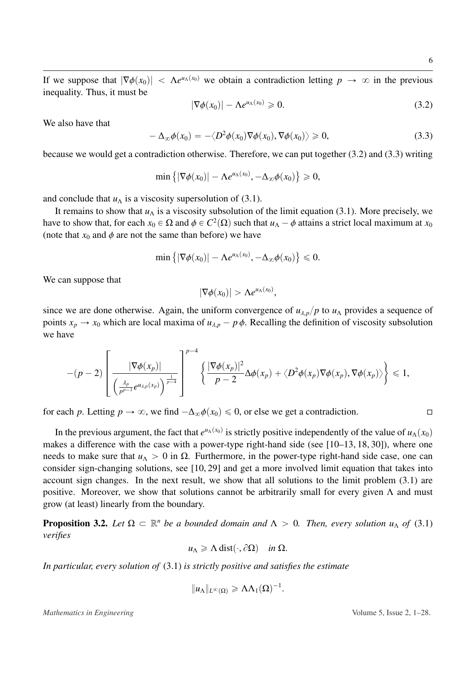If we suppose that  $|\nabla \phi(x_0)| < \Lambda e^{u \Lambda(x_0)}$  we obtain a contradiction letting  $p \to \infty$  in the previous inequality. Thus, it must be inequality. Thus, it must be

<span id="page-6-0"></span>
$$
|\nabla \phi(x_0)| - \Lambda e^{u_\Lambda(x_0)} \geq 0. \tag{3.2}
$$

We also have that

<span id="page-6-1"></span>
$$
-\Delta_{\infty}\phi(x_0)=-\langle D^2\phi(x_0)\nabla\phi(x_0),\nabla\phi(x_0)\rangle\geq 0,
$$
\n(3.3)

because we would get a contradiction otherwise. Therefore, we can put together [\(3.2\)](#page-6-0) and [\(3.3\)](#page-6-1) writing

$$
\min\left\{|\nabla \phi(x_0)| - \Lambda e^{u_\Lambda(x_0)}, -\Delta_\infty \phi(x_0)\right\} \geq 0,
$$

and conclude that  $u_\Lambda$  is a viscosity supersolution of [\(3.1\)](#page-5-1).

It remains to show that  $u<sub>\Lambda</sub>$  is a viscosity subsolution of the limit equation [\(3.1\)](#page-5-1). More precisely, we have to show that, for each  $x_0 \in \Omega$  and  $\phi \in C^2(\Omega)$  such that  $u_\Lambda - \phi$  attains a strict local maximum at  $x_0$ <br>(note that  $x_0$  and  $\phi$  are not the same than before) we have (note that  $x_0$  and  $\phi$  are not the same than before) we have

$$
\min\left\{|\nabla\phi(x_0)|-\Lambda e^{u_\Lambda(x_0)},-\Delta_\infty\phi(x_0)\right\}\leq 0.
$$

We can suppose that

$$
|\nabla \phi(x_0)| > \Lambda e^{u_\Lambda(x_0)},
$$

since we are done otherwise. Again, the uniform convergence of  $u_{\lambda,p}/p$  to  $u_{\Lambda}$  provides a sequence of points  $x_p \to x_0$  which are local maxima of  $u_{\lambda,p} - p \phi$ . Recalling the definition of viscosity subsolution we have

$$
-(p-2)\left[\frac{|\nabla \phi(x_p)|}{\left(\frac{\lambda_p}{p^{p-1}}e^{u_{\lambda,p}(x_p)}\right)^{\frac{1}{p-4}}}\right]^{p-4}\left\{\frac{|\nabla \phi(x_p)|^2}{p-2}\Delta \phi(x_p)+\langle D^2\phi(x_p)\nabla \phi(x_p),\nabla \phi(x_p)\rangle\right\}\leqslant 1,
$$

for each *p*. Letting  $p \to \infty$ , we find  $-\Delta_{\infty}\phi(x_0) \leq 0$ , or else we get a contradiction.

In the previous argument, the fact that  $e^{u_0(x_0)}$  is strictly positive independently of the value of  $u_0(x_0)$ makes a difference with the case with a power-type right-hand side (see [\[10](#page-26-5)[–13,](#page-27-7) [18,](#page-27-8) [30\]](#page-28-4)), where one needs to make sure that  $u_\Lambda > 0$  in Ω. Furthermore, in the power-type right-hand side case, one can consider sign-changing solutions, see [\[10,](#page-26-5) [29\]](#page-28-11) and get a more involved limit equation that takes into account sign changes. In the next result, we show that all solutions to the limit problem [\(3.1\)](#page-5-1) are positive. Moreover, we show that solutions cannot be arbitrarily small for every given  $\Lambda$  and must grow (at least) linearly from the boundary.

<span id="page-6-2"></span>**Proposition 3.2.** Let  $\Omega \subset \mathbb{R}^n$  be a bounded domain and  $\Lambda > 0$ . Then, every solution  $u_\Lambda$  of [\(3.1\)](#page-5-1) *verifies*

$$
u_{\Lambda} \geqslant \Lambda \operatorname{dist}(\cdot, \partial \Omega) \quad \text{in } \Omega.
$$

*In particular, every solution of* [\(3.1\)](#page-5-1) *is strictly positive and satisfies the estimate*

$$
||u_{\Lambda}||_{L^{\infty}(\Omega)} \geq \Lambda \Lambda_1(\Omega)^{-1}.
$$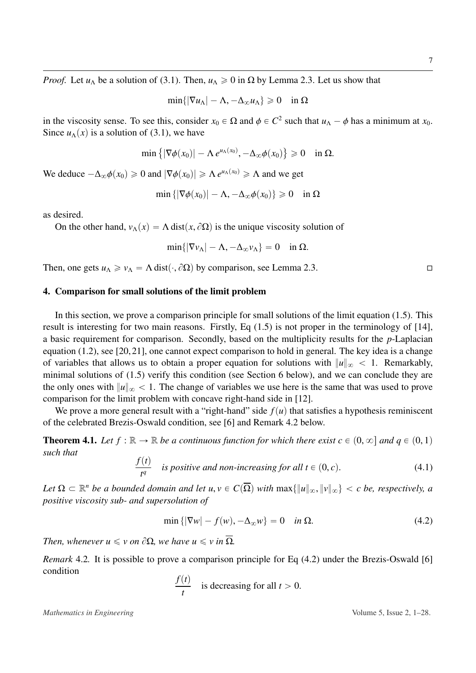*Proof.* Let  $u_\Lambda$  be a solution of [\(3.1\)](#page-5-1). Then,  $u_\Lambda \ge 0$  in  $\Omega$  by Lemma [2.3.](#page-4-1) Let us show that

$$
\min\{|\nabla u_\Lambda| - \Lambda, -\Delta_\infty u_\Lambda\} \geq 0 \quad \text{in } \Omega
$$

in the viscosity sense. To see this, consider  $x_0 \in \Omega$  and  $\phi \in C^2$  such that  $u_\Lambda - \phi$  has a minimum at  $x_0$ .<br>Since  $u_\Lambda(x)$  is a solution of (3.1), we have Since  $u_{\Lambda}(x)$  is a solution of [\(3.1\)](#page-5-1), we have

$$
\min\left\{|\nabla \phi(x_0)| - \Lambda e^{u_\Lambda(x_0)}, -\Delta_\infty \phi(x_0)\right\} \geq 0 \quad \text{in } \Omega.
$$

We deduce  $-\Delta_{\infty}\phi(x_0) \ge 0$  and  $|\nabla \phi(x_0)| \ge \Lambda e^{\mu(\chi(x_0))} \ge \Lambda$  and we get

$$
\min\left\{|\nabla\phi(x_0)|-\Lambda,-\Delta_{\infty}\phi(x_0)\right\}\geq 0 \quad \text{in } \Omega
$$

as desired.

On the other hand,  $v_\Lambda(x) = \Lambda \text{ dist}(x, \partial \Omega)$  is the unique viscosity solution of

$$
\min\{|\nabla v_\Lambda| - \Lambda, -\Delta_\infty v_\Lambda\} = 0 \quad \text{in } \Omega.
$$

Then, one gets  $u_\Lambda \ge v_\Lambda = \Lambda \text{ dist}(\cdot, \partial \Omega)$  by comparison, see Lemma [2.3.](#page-4-1)

#### <span id="page-7-0"></span>4. Comparison for small solutions of the limit problem

In this section, we prove a comparison principle for small solutions of the limit equation [\(1.5\)](#page-2-3). This result is interesting for two main reasons. Firstly, Eq [\(1.5\)](#page-2-3) is not proper in the terminology of [\[14\]](#page-27-13), a basic requirement for comparison. Secondly, based on the multiplicity results for the *p*-Laplacian equation [\(1.2\)](#page-2-2), see [\[20,](#page-27-4)[21\]](#page-27-5), one cannot expect comparison to hold in general. The key idea is a change of variables that allows us to obtain a proper equation for solutions with  $||u||_{\infty} < 1$ . Remarkably, minimal solutions of [\(1.5\)](#page-2-3) verify this condition (see Section [6](#page-15-0) below), and we can conclude they are the only ones with  $||u||_{\infty} < 1$ . The change of variables we use here is the same that was used to prove comparison for the limit problem with concave right-hand side in [\[12\]](#page-27-14).

We prove a more general result with a "right-hand" side  $f(u)$  that satisfies a hypothesis reminiscent of the celebrated Brezis-Oswald condition, see [\[6\]](#page-26-8) and Remark [4.2](#page-7-1) below.

<span id="page-7-3"></span>**Theorem 4.1.** Let  $f : \mathbb{R} \to \mathbb{R}$  be a continuous function for which there exist  $c \in (0, \infty]$  and  $q \in (0, 1)$ *such that*

<span id="page-7-4"></span>
$$
\frac{f(t)}{t^q}
$$
 is positive and non-increasing for all  $t \in (0, c)$ . (4.1)

*Let*  $\Omega \subset \mathbb{R}^n$  *be a bounded domain and let*  $u, v \in C(\overline{\Omega})$  *with*  $\max\{\|u\|_{\infty}, \|v\|_{\infty}\} < c$  *be, respectively, a* positive viscosity sub- and supersolution of *positive viscosity sub- and supersolution of*

<span id="page-7-2"></span>
$$
\min\left\{|\nabla w| - f(w), -\Delta_{\infty} w\right\} = 0 \quad \text{in } \Omega. \tag{4.2}
$$

*Then, whenever*  $u \leq v$  *on*  $\partial \Omega$ *, we have*  $u \leq v$  *in*  $\overline{\Omega}$ *.* 

<span id="page-7-1"></span>*Remark* 4.2. It is possible to prove a comparison principle for Eq [\(4.2\)](#page-7-2) under the Brezis-Oswald [\[6\]](#page-26-8) condition

$$
\frac{f(t)}{t}
$$
 is decreasing for all  $t > 0$ .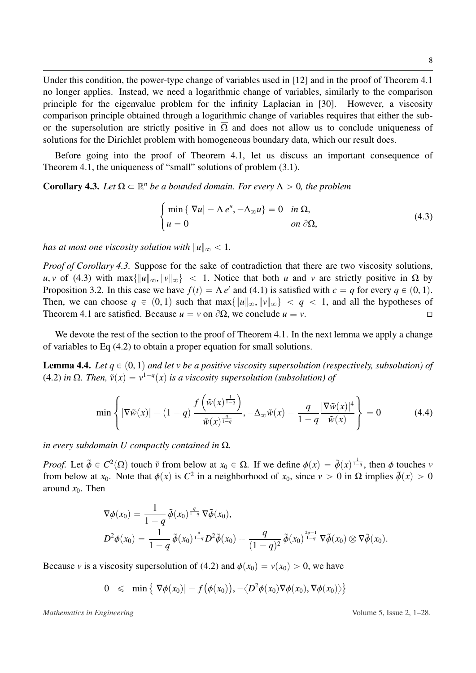Under this condition, the power-type change of variables used in [\[12\]](#page-27-14) and in the proof of Theorem [4.1](#page-7-3) no longer applies. Instead, we need a logarithmic change of variables, similarly to the comparison principle for the eigenvalue problem for the infinity Laplacian in [\[30\]](#page-28-4). However, a viscosity comparison principle obtained through a logarithmic change of variables requires that either the subor the supersolution are strictly positive in  $\overline{\Omega}$  and does not allow us to conclude uniqueness of solutions for the Dirichlet problem with homogeneous boundary data, which our result does.

Before going into the proof of Theorem [4.1,](#page-7-3) let us discuss an important consequence of Theorem [4.1,](#page-7-3) the uniqueness of "small" solutions of problem [\(3.1\)](#page-5-1).

<span id="page-8-0"></span>**Corollary 4.3.** Let  $\Omega \subset \mathbb{R}^n$  be a bounded domain. For every  $\Lambda > 0$ , the problem

<span id="page-8-1"></span>
$$
\begin{cases}\n\min \{ |\nabla u| - \Lambda e^u, -\Delta_{\infty} u \} = 0 & \text{in } \Omega, \\
u = 0 & \text{on } \partial \Omega,\n\end{cases}
$$
\n(4.3)

*has at most one viscosity solution with*  $||u||_{\infty} < 1$ *.* 

#

*Proof of Corollary [4.3.](#page-8-0)* Suppose for the sake of contradiction that there are two viscosity solutions, *u*, *v* of [\(4.3\)](#page-8-1) with max $\{\|u\|_{\infty}, \|v\|_{\infty}\}< 1$ . Notice that both *u* and *v* are strictly positive in  $\Omega$  by Proposition [3.2.](#page-6-2) In this case we have  $f(t) = \Lambda e^t$  and [\(4.1\)](#page-7-4) is satisfied with  $c = q$  for every  $q \in (0, 1)$ .<br>Then we can choose  $q \in (0, 1)$  such that  $\max_{\lambda} f \|u\| \leq \lambda$  and all the hypotheses of Then, we can choose  $q \in (0, 1)$  such that  $\max\{\|u\|_{\infty}, \|v\|_{\infty}\} < q < 1$ , and all the hypotheses of Theorem 4.1 are satisfied. Because  $u = v$  on  $\partial\Omega$ , we conclude  $u \equiv v$ . Theorem [4.1](#page-7-3) are satisfied. Because  $u = v$  on  $\partial\Omega$ , we conclude  $u \equiv v$ .

We devote the rest of the section to the proof of Theorem [4.1.](#page-7-3) In the next lemma we apply a change of variables to Eq [\(4.2\)](#page-7-2) to obtain a proper equation for small solutions.

<span id="page-8-3"></span>**Lemma 4.4.** Let  $q \in (0, 1)$  and let v be a positive viscosity supersolution (respectively, subsolution) of [\(4.2\)](#page-7-2) *in* Ω*. Then,*  $\tilde{v}(x) = v^{1-q}(x)$  *is a viscosity supersolution (subsolution) of* 

<span id="page-8-2"></span>
$$
\min\left\{|\nabla \tilde{w}(x)| - (1-q)\frac{f\left(\tilde{w}(x)^{\frac{1}{1-q}}\right)}{\tilde{w}(x)^{\frac{q}{1-q}}}, -\Delta_{\infty}\tilde{w}(x) - \frac{q}{1-q}\frac{|\nabla \tilde{w}(x)|^4}{\tilde{w}(x)}\right\} = 0\tag{4.4}
$$

*in every subdomain U compactly contained in* Ω*.*

*Proof.* Let  $\tilde{\phi} \in C^2(\Omega)$  touch  $\tilde{\nu}$  from below at  $x_0 \in \Omega$ . If we define  $\phi(x) = \tilde{\phi}(x)^{\frac{1}{1-q}}$ , then  $\phi$  touches *v* from below at  $x_0$ . Note that  $\phi(x)$  is  $C^2$  in a neighborhood of  $x_0$  since  $y > 0$  in O from below at *x*<sub>0</sub>. Note that  $\phi(x)$  is  $C^2$  in a neighborhood of *x*<sub>0</sub>, since  $v > 0$  in  $\Omega$  implies  $\tilde{\phi}(x) > 0$ <br>around *x*<sub>2</sub>. Then around  $x_0$ . Then

$$
\nabla \phi(x_0) = \frac{1}{1-q} \tilde{\phi}(x_0)^{\frac{q}{1-q}} \nabla \tilde{\phi}(x_0),
$$
  
\n
$$
D^2 \phi(x_0) = \frac{1}{1-q} \tilde{\phi}(x_0)^{\frac{q}{1-q}} D^2 \tilde{\phi}(x_0) + \frac{q}{(1-q)^2} \tilde{\phi}(x_0)^{\frac{2q-1}{1-q}} \nabla \tilde{\phi}(x_0) \otimes \nabla \tilde{\phi}(x_0).
$$

Because *v* is a viscosity supersolution of [\(4.2\)](#page-7-2) and  $\phi(x_0) = v(x_0) > 0$ , we have

$$
0 \leqslant \min \left\{ |\nabla \phi(x_0)| - f(\phi(x_0)), -\langle D^2 \phi(x_0) \nabla \phi(x_0), \nabla \phi(x_0) \rangle \right\}
$$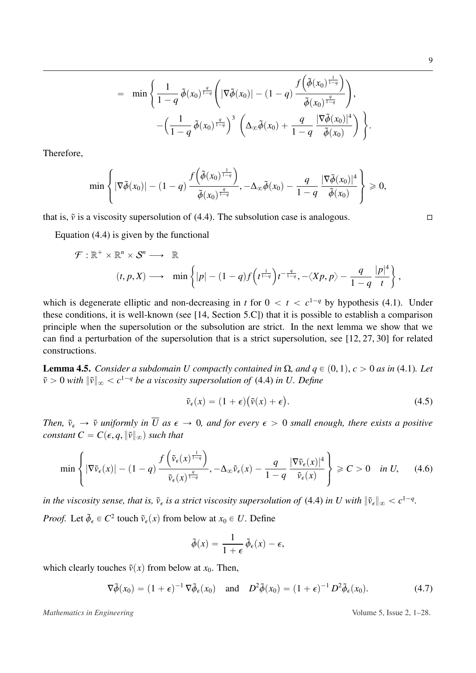$$
= \min \left\{ \frac{1}{1-q} \tilde{\phi}(x_0)^{\frac{q}{1-q}} \left( |\nabla \tilde{\phi}(x_0)| - (1-q) \frac{f\left(\tilde{\phi}(x_0)^{\frac{1}{1-q}}\right)}{\tilde{\phi}(x_0)^{\frac{q}{1-q}}} \right), \\ -\left(\frac{1}{1-q} \tilde{\phi}(x_0)^{\frac{q}{1-q}}\right)^3 \left( \Delta_{\infty} \tilde{\phi}(x_0) + \frac{q}{1-q} \frac{|\nabla \tilde{\phi}(x_0)|^4}{\tilde{\phi}(x_0)} \right) \right\}
$$

Therefore,

$$
\min\left\{\left|\nabla\tilde{\phi}(x_0)\right|-(1-q)\frac{f\left(\tilde{\phi}(x_0)^{\frac{1}{1-q}}\right)}{\tilde{\phi}(x_0)^{\frac{q}{1-q}}},-\Delta_{\infty}\tilde{\phi}(x_0)-\frac{q}{1-q}\frac{|\nabla\tilde{\phi}(x_0)|^4}{\tilde{\phi}(x_0)}\right\}\geq 0,
$$

¯

that is,  $\tilde{v}$  is a viscosity supersolution of [\(4.4\)](#page-8-2). The subsolution case is analogous.  $\Box$ 

 $\mathbf{r}$ 

Equation [\(4.4\)](#page-8-2) is given by the functional

$$
\mathcal{F}: \mathbb{R}^+ \times \mathbb{R}^n \times \mathcal{S}^n \longrightarrow \mathbb{R}
$$
  
 $(t, p, X) \longrightarrow \min \left\{ |p| - (1-q)f\left(t^{\frac{1}{1-q}}\right)t^{-\frac{q}{1-q}}, -\langle Xp, p \rangle - \frac{q}{1-q} \frac{|p|^4}{t} \right\},\$ 

which is degenerate elliptic and non-decreasing in *t* for  $0 < t < c^{1-q}$  by hypothesis [\(4.1\)](#page-7-4). Under these conditions, it is well-known (see [\[14,](#page-27-13) Section 5.C]) that it is possible to establish a comparison principle when the supersolution or the subsolution are strict. In the next lemma we show that we can find a perturbation of the supersolution that is a strict supersolution, see [\[12,](#page-27-14) [27,](#page-27-10) [30\]](#page-28-4) for related constructions.

<span id="page-9-3"></span>**Lemma 4.5.** *Consider a subdomain U compactly contained in*  $\Omega$ *, and*  $q \in (0, 1)$ *, c* > 0 *as in* [\(4.1\)](#page-7-4)*. Let*  $\tilde{v} > 0$  *with*  $\|\tilde{v}\|_{\infty} < c^{1-q}$  *be a viscosity supersolution of* [\(4.4\)](#page-8-2) *in U. Define* 

<span id="page-9-0"></span>
$$
\tilde{\nu}_{\epsilon}(x) = (1 + \epsilon)(\tilde{\nu}(x) + \epsilon). \tag{4.5}
$$

*Then,*  $\tilde{v}_{\epsilon} \to \tilde{v}$  *uniformly in*  $\overline{U}$  *as*  $\epsilon \to 0$ *, and for every*  $\epsilon > 0$  *small enough, there exists a positive constant*  $C = C(\epsilon, q, ||\tilde{v}||_{\infty})$  *such that* 

<span id="page-9-2"></span>
$$
\min\left\{|\nabla\tilde{v}_{\epsilon}(x)| - (1-q)\frac{f\left(\tilde{v}_{\epsilon}(x)^{\frac{1}{1-q}}\right)}{\tilde{v}_{\epsilon}(x)^{\frac{q}{1-q}}}, -\Delta_{\infty}\tilde{v}_{\epsilon}(x) - \frac{q}{1-q}\frac{|\nabla\tilde{v}_{\epsilon}(x)|^{4}}{\tilde{v}_{\epsilon}(x)}\right\} \geq C > 0 \quad \text{in } U,
$$
\n(4.6)

*in the viscosity sense, that is,*  $\tilde{v}_{\epsilon}$  *is a strict viscosity supersolution of* [\(4.4\)](#page-8-2) *in U with*  $\|\tilde{v}_{\epsilon}\|_{\infty} < c^{1-q}$ . *Proof.* Let  $\tilde{\phi}_{\epsilon} \in C^2$  touch  $\tilde{v}_{\epsilon}(x)$  from below at  $x_0 \in U$ . Define

$$
\tilde{\phi}(x) = \frac{1}{1+\epsilon} \, \tilde{\phi}_{\epsilon}(x) - \epsilon,
$$

which clearly touches  $\tilde{v}(x)$  from below at  $x_0$ . Then,

<span id="page-9-1"></span>
$$
\nabla \tilde{\phi}(x_0) = (1 + \epsilon)^{-1} \nabla \tilde{\phi}_{\epsilon}(x_0) \quad \text{and} \quad D^2 \tilde{\phi}(x_0) = (1 + \epsilon)^{-1} D^2 \tilde{\phi}_{\epsilon}(x_0). \tag{4.7}
$$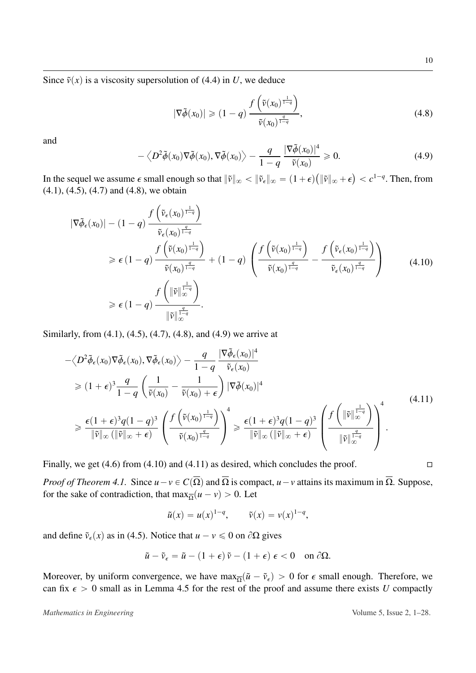Since  $\tilde{v}(x)$  is a viscosity supersolution of [\(4.4\)](#page-8-2) in *U*, we deduce

<span id="page-10-0"></span>
$$
|\nabla \tilde{\phi}(x_0)| \geqslant (1-q) \frac{f\left(\tilde{\nu}(x_0)^{\frac{1}{1-q}}\right)}{\tilde{\nu}(x_0)^{\frac{q}{1-q}}},
$$
\n
$$
(4.8)
$$

on a construction of the construction of the construction of the construction of the construction of the construction of the construction of the construction of the construction of the construction of the construction of

and

<span id="page-10-1"></span>
$$
-\langle D^2 \tilde{\phi}(x_0) \nabla \tilde{\phi}(x_0), \nabla \tilde{\phi}(x_0) \rangle - \frac{q}{1-q} \frac{|\nabla \tilde{\phi}(x_0)|^4}{\tilde{v}(x_0)} \geq 0.
$$
 (4.9)

**O** 

In the sequel we assume  $\epsilon$  small enough so that  $\|\tilde{v}\|_{\infty} < \|\tilde{v}_{\epsilon}\|_{\infty} = (1 + \epsilon)$ <br>(4.1) (4.5) (4.7) and (4.8) we obtain  $\|\tilde{v}\|_{\infty} + \epsilon$  $\langle c^{1-q}$ . Then, from [\(4.1\)](#page-7-4), [\(4.5\)](#page-9-0), [\(4.7\)](#page-9-1) and [\(4.8\)](#page-10-0), we obtain **O** on a construction of the construction of the construction of the construction of the construction of the construction of the construction of the construction of the construction of the construction of the construction of

<span id="page-10-2"></span>
$$
|\nabla \tilde{\phi}_{\epsilon}(x_0)| - (1-q) \frac{f\left(\tilde{\nu}_{\epsilon}(x_0)^{\frac{q}{1-q}}\right)}{\tilde{\nu}_{\epsilon}(x_0)^{\frac{q}{1-q}}} \\
\geq \epsilon (1-q) \frac{f\left(\tilde{\nu}(x_0)^{\frac{1}{1-q}}\right)}{\tilde{\nu}(x_0)^{\frac{q}{1-q}}} + (1-q) \left(\frac{f\left(\tilde{\nu}(x_0)^{\frac{1}{1-q}}\right)}{\tilde{\nu}(x_0)^{\frac{q}{1-q}}} - \frac{f\left(\tilde{\nu}_{\epsilon}(x_0)^{\frac{1}{1-q}}\right)}{\tilde{\nu}_{\epsilon}(x_0)^{\frac{q}{1-q}}}\right) \\
\geq \epsilon (1-q) \frac{f\left(\|\tilde{\nu}\|_{\infty}^{\frac{1}{1-q}}\right)}{\|\tilde{\nu}\|_{\infty}^{\frac{q}{1-q}}}.
$$
\n(4.10)

Similarly, from [\(4.1\)](#page-7-4), [\(4.5\)](#page-9-0), [\(4.7\)](#page-9-1), [\(4.8\)](#page-10-0), and [\(4.9\)](#page-10-1) we arrive at

<span id="page-10-3"></span>
$$
-\langle D^{2}\tilde{\phi}_{\epsilon}(x_{0})\nabla\tilde{\phi}_{\epsilon}(x_{0}), \nabla\tilde{\phi}_{\epsilon}(x_{0})\rangle - \frac{q}{1-q} \frac{|\nabla\tilde{\phi}_{\epsilon}(x_{0})|^{4}}{\tilde{\nu}_{\epsilon}(x_{0})}
$$
  
\n
$$
\geq (1+\epsilon)^{3} \frac{q}{1-q} \left(\frac{1}{\tilde{\nu}(x_{0})} - \frac{1}{\tilde{\nu}(x_{0}) + \epsilon}\right) |\nabla\tilde{\phi}(x_{0})|^{4}
$$
  
\n
$$
\geq \frac{\epsilon(1+\epsilon)^{3}q(1-q)^{3}}{\|\tilde{\nu}\|_{\infty}(\|\tilde{\nu}\|_{\infty}+\epsilon)} \left(\frac{f(\tilde{\nu}(x_{0})^{\frac{1}{1-q}})}{\tilde{\nu}(x_{0})^{\frac{q}{1-q}}}\right)^{4} \geq \frac{\epsilon(1+\epsilon)^{3}q(1-q)^{3}}{\|\tilde{\nu}\|_{\infty}(\|\tilde{\nu}\|_{\infty}+\epsilon)} \left(\frac{f(\|\tilde{\nu}\|_{\infty}^{\frac{1}{1-q}})}{\|\tilde{\nu}\|_{\infty}^{\frac{q}{1-q}}}\right)^{4}.
$$
\n
$$
(4.11)
$$

Finally, we get [\(4.6\)](#page-9-2) from [\(4.10\)](#page-10-2) and [\(4.11\)](#page-10-3) as desired, which concludes the proof.  $\square$ 

*Proof of Theorem [4.1.](#page-7-3)* Since  $u - v \in C(\overline{\Omega})$  and  $\overline{\Omega}$  is compact,  $u - v$  attains its maximum in  $\overline{\Omega}$ . Suppose, for the sake of contradiction, that  $\max_{\overline{\Omega}} (u - v) > 0$ . Let

$$
\tilde{u}(x) = u(x)^{1-q}, \qquad \tilde{v}(x) = v(x)^{1-q},
$$

and define  $\tilde{v}_{\epsilon}(x)$  as in [\(4.5\)](#page-9-0). Notice that  $u - v \le 0$  on  $\partial \Omega$  gives

$$
\tilde{u} - \tilde{v}_{\epsilon} = \tilde{u} - (1 + \epsilon)\tilde{v} - (1 + \epsilon)\epsilon < 0 \quad \text{on } \partial\Omega.
$$

Moreover, by uniform convergence, we have  $\max_{\Omega} (\tilde{u} - \tilde{v}_{\epsilon}) > 0$  for  $\epsilon$  small enough. Therefore, we can fix  $\epsilon > 0$  small as in Lemma 4.5 for the rest of the proof and assume there exists *II* connactly can fix  $\epsilon > 0$  small as in Lemma [4.5](#page-9-3) for the rest of the proof and assume there exists *U* compactly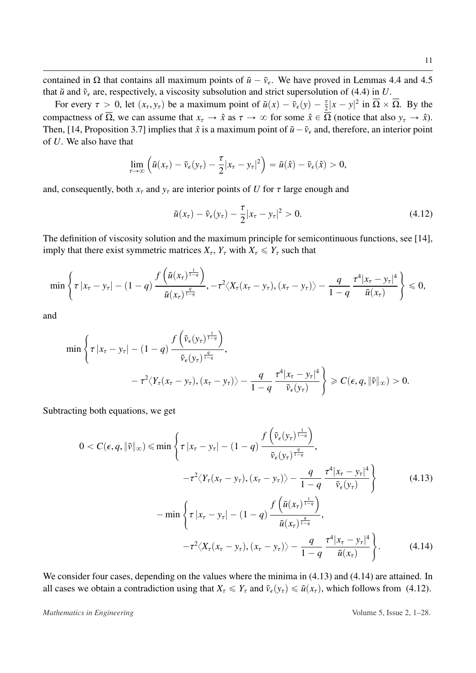contained in  $\Omega$  that contains all maximum points of  $\tilde{u} - \tilde{v}_{\epsilon}$ . We have proved in Lemmas [4.4](#page-8-3) and [4.5](#page-9-3) that  $\tilde{u}$  and  $\tilde{v}_{\epsilon}$  are, respectively, a viscosity subsolution and strict supersolution of [\(4.4\)](#page-8-2) in *U*.

For every  $\tau > 0$ , let  $(x_{\tau}, y_{\tau})$  be a maximum point of  $\tilde{u}(x) - \tilde{v}_{\epsilon}(y) - \frac{\tau}{2}|x - y|^2$  in  $\overline{\Omega} \times \overline{\Omega}$ . By the compactness of  $\overline{\Omega}$ , we can assume that  $x_{\tau} \to \hat{x}$  as  $\tau \to \infty$  for some  $\hat{x} \in \overline{\Omega}$  (notice that also  $y_{\tau} \to \hat{x}$ ). Then, [\[14,](#page-27-13) Proposition 3.7] implies that  $\hat{x}$  is a maximum point of  $\tilde{u} - \tilde{v}_{\epsilon}$  and, therefore, an interior point of *U*. We also have that

$$
\lim_{\tau\to\infty}\left(\tilde{u}(x_{\tau})-\tilde{v}_{\epsilon}(y_{\tau})-\frac{\tau}{2}|x_{\tau}-y_{\tau}|^2\right)=\tilde{u}(\hat{x})-\tilde{v}_{\epsilon}(\hat{x})>0,
$$

and, consequently, both  $x<sub>\tau</sub>$  and  $y<sub>\tau</sub>$  are interior points of *U* for  $\tau$  large enough and

 $\mathbf{r}$ 

<span id="page-11-1"></span>
$$
\tilde{u}(x_{\tau}) - \tilde{v}_{\epsilon}(y_{\tau}) - \frac{\tau}{2}|x_{\tau} - y_{\tau}|^2 > 0.
$$
\n(4.12)

The definition of viscosity solution and the maximum principle for semicontinuous functions, see [\[14\]](#page-27-13), imply that there exist symmetric matrices  $X_{\tau}$ ,  $Y_{\tau}$  with  $X_{\tau} \leq Y_{\tau}$  such that

$$
\min\left\{\tau\left|x_{\tau}-y_{\tau}\right|-(1-q)\frac{f\left(\tilde{u}(x_{\tau})^{\frac{1}{1-q}}\right)}{\tilde{u}(x_{\tau})^{\frac{q}{1-q}}},-\tau^{2}\langle X_{\tau}(x_{\tau}-y_{\tau}), (x_{\tau}-y_{\tau})\rangle-\frac{q}{1-q}\frac{\tau^{4}|x_{\tau}-y_{\tau}|^{4}}{\tilde{u}(x_{\tau})}\right\}\leq 0,
$$

¯

and

$$
\min\left\{\tau\left|x_{\tau}-y_{\tau}\right|-(1-q)\frac{f\left(\tilde{v}_{\epsilon}(y_{\tau})^{\frac{1}{1-q}}\right)}{\tilde{v}_{\epsilon}(y_{\tau})^{\frac{q}{1-q}}},\\-\tau^{2}\langle Y_{\tau}(x_{\tau}-y_{\tau}), (x_{\tau}-y_{\tau})\rangle-\frac{q}{1-q}\frac{\tau^{4}|x_{\tau}-y_{\tau}|^{4}}{\tilde{v}_{\epsilon}(y_{\tau})}\right\}\geq C(\epsilon, q, \|\tilde{v}\|_{\infty})>0.
$$

Subtracting both equations, we get

<span id="page-11-0"></span>
$$
0 < C(\epsilon, q, \|\tilde{v}\|_{\infty}) \le \min\left\{\tau |x_{\tau} - y_{\tau}| - (1 - q) \frac{f(\tilde{v}_{\epsilon}(y_{\tau})^{\frac{1}{1-q}})}{\tilde{v}_{\epsilon}(y_{\tau})^{\frac{q}{1-q}}}, -\tau^{2} \langle Y_{\tau}(x_{\tau} - y_{\tau}), (x_{\tau} - y_{\tau}) \rangle - \frac{q}{1-q} \frac{\tau^{4} |x_{\tau} - y_{\tau}|^{4}}{\tilde{v}_{\epsilon}(y_{\tau})}\right\}
$$
(4.13)  

$$
-\min\left\{\tau |x_{\tau} - y_{\tau}| - (1 - q) \frac{f(\tilde{u}(x_{\tau})^{\frac{1}{1-q}})}{\tilde{u}(x_{\tau})^{\frac{q}{1-q}}}, -\tau^{2} \langle X_{\tau}(x_{\tau} - y_{\tau}), (x_{\tau} - y_{\tau}) \rangle - \frac{q}{1-q} \frac{\tau^{4} |x_{\tau} - y_{\tau}|^{4}}{\tilde{u}(x_{\tau})}\right\}.
$$
(4.14)

 $\mathcal{L}$ 

¯

We consider four cases, depending on the values where the minima in  $(4.13)$  and  $(4.14)$  are attained. In all cases we obtain a contradiction using that  $X_\tau \leq Y_\tau$  and  $\tilde{\nu}_\epsilon(y_\tau) \leq \tilde{u}(x_\tau)$ , which follows from [\(4.12\)](#page-11-1).

*Mathematics in Engineering*  $\blacksquare$  2.1–28.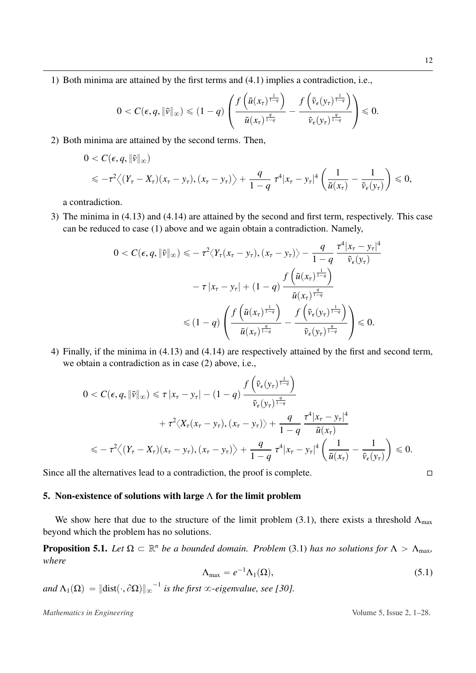1) Both minima are attained by the first terms and [\(4.1\)](#page-7-4) implies a contradiction, i.e.,

$$
0 < C(\epsilon, q, \|\tilde{v}\|_{\infty}) \leq (1-q) \left( \frac{f\left(\tilde{u}(x_{\tau})^{\frac{1}{1-q}}\right)}{\tilde{u}(x_{\tau})^{\frac{q}{1-q}}} - \frac{f\left(\tilde{v}_{\epsilon}(y_{\tau})^{\frac{1}{1-q}}\right)}{\tilde{v}_{\epsilon}(y_{\tau})^{\frac{q}{1-q}}} \right) \leq 0.
$$

2) Both minima are attained by the second terms. Then,

$$
0 < C(\epsilon, q, \|\tilde{v}\|_{\infty})
$$
  
\$\leqslant -\tau^2 \big\langle (Y\_{\tau} - X\_{\tau})(x\_{\tau} - y\_{\tau}), (x\_{\tau} - y\_{\tau}) \big\rangle + \frac{q}{1-q} \tau^4 |x\_{\tau} - y\_{\tau}|^4 \left( \frac{1}{\tilde{u}(x\_{\tau})} - \frac{1}{\tilde{v}\_{\epsilon}(y\_{\tau})} \right) \leqslant 0\$,

a contradiction.

3) The minima in [\(4.13\)](#page-11-0) and [\(4.14\)](#page-11-0) are attained by the second and first term, respectively. This case can be reduced to case (1) above and we again obtain a contradiction. Namely,

$$
0 < C(\epsilon, q, \|\tilde{v}\|_{\infty}) \leqslant -\tau^2 \langle Y_{\tau}(x_{\tau} - y_{\tau}), (x_{\tau} - y_{\tau}) \rangle - \frac{q}{1 - q} \frac{\tau^4 |x_{\tau} - y_{\tau}|^4}{\tilde{v}_{\epsilon}(y_{\tau})}
$$
\n
$$
-\tau |x_{\tau} - y_{\tau}| + (1 - q) \frac{f\left(\tilde{u}(x_{\tau})^{\frac{1}{1 - q}}\right)}{\tilde{u}(x_{\tau})^{\frac{q}{1 - q}}}
$$
\n
$$
\leqslant (1 - q) \left( \frac{f\left(\tilde{u}(x_{\tau})^{\frac{1}{1 - q}}\right)}{\tilde{u}(x_{\tau})^{\frac{q}{1 - q}}} - \frac{f\left(\tilde{v}_{\epsilon}(y_{\tau})^{\frac{1}{1 - q}}\right)}{\tilde{v}_{\epsilon}(y_{\tau})^{\frac{q}{1 - q}}} \right) \leqslant 0.
$$

4) Finally, if the minima in [\(4.13\)](#page-11-0) and [\(4.14\)](#page-11-0) are respectively attained by the first and second term, we obtain a contradiction as in case (2) above, i.e.,  $\ddot{\phantom{a}}$ ¯

$$
0 < C(\epsilon, q, \|\tilde{v}\|_{\infty}) \leq \tau |x_{\tau} - y_{\tau}| - (1 - q) \frac{f\left(\tilde{v}_{\epsilon}(y_{\tau})^{\frac{1}{1-q}}\right)}{\tilde{v}_{\epsilon}(y_{\tau})^{\frac{q}{1-q}}} \\
+ \tau^2 \langle X_{\tau}(x_{\tau} - y_{\tau}), (x_{\tau} - y_{\tau}) \rangle + \frac{q}{1-q} \frac{\tau^4 |x_{\tau} - y_{\tau}|^4}{\tilde{u}(x_{\tau})} \\
\leqslant -\tau^2 \langle (Y_{\tau} - X_{\tau})(x_{\tau} - y_{\tau}), (x_{\tau} - y_{\tau}) \rangle + \frac{q}{1-q} \tau^4 |x_{\tau} - y_{\tau}|^4 \left(\frac{1}{\tilde{u}(x_{\tau})} - \frac{1}{\tilde{v}_{\epsilon}(y_{\tau})}\right) \leqslant 0.
$$

Since all the alternatives lead to a contradiction, the proof is complete.  $\Box$ 

#### <span id="page-12-0"></span>5. Non-existence of solutions with large  $\Lambda$  for the limit problem

We show here that due to the structure of the limit problem [\(3.1\)](#page-5-1), there exists a threshold  $\Lambda_{\text{max}}$ beyond which the problem has no solutions.

<span id="page-12-2"></span>**Proposition 5.1.** Let  $\Omega \subset \mathbb{R}^n$  be a bounded domain. Problem [\(3.1\)](#page-5-1) has no solutions for  $\Lambda > \Lambda_{\text{max}}$ , *where*

<span id="page-12-1"></span>
$$
\Lambda_{\text{max}} = e^{-1} \Lambda_1(\Omega), \tag{5.1}
$$

 $and \ \Lambda_1(\Omega) = \|\text{dist}(\cdot, \partial \Omega)\|_{\infty}^{-1}$  is the first  $\infty$ -eigenvalue, see [\[30\]](#page-28-4).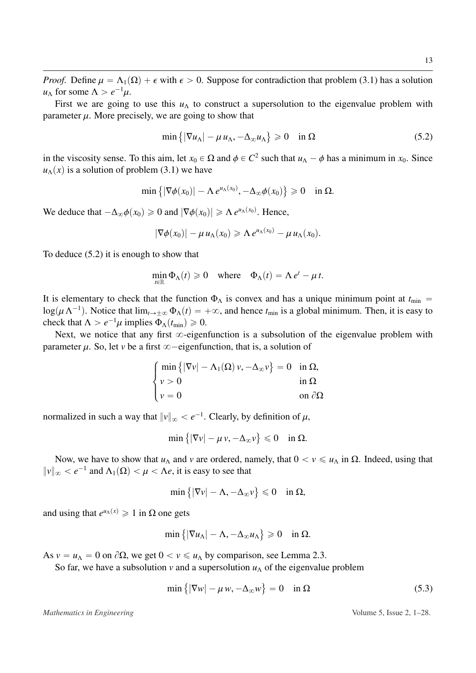*Proof.* Define  $\mu = \Lambda_1(\Omega) + \epsilon$  with  $\epsilon > 0$ . Suppose for contradiction that problem [\(3.1\)](#page-5-1) has a solution *u*<sub>Λ</sub> for some  $\Lambda > e^{-1}\mu$ .<br>First we are going

First we are going to use this  $u_\Lambda$  to construct a supersolution to the eigenvalue problem with parameter  $\mu$ . More precisely, we are going to show that

<span id="page-13-0"></span>
$$
\min\left\{|\nabla u_{\Lambda}| - \mu u_{\Lambda}, -\Delta_{\infty} u_{\Lambda}\right\} \geq 0 \quad \text{in } \Omega \tag{5.2}
$$

**(A)** 

in the viscosity sense. To this aim, let  $x_0 \in \Omega$  and  $\phi \in C^2$  such that  $u_\Lambda - \phi$  has a minimum in  $x_0$ . Since  $u_\Lambda(x)$  is a solution of problem (3.1) we have  $u<sub>A</sub>(x)$  is a solution of problem [\(3.1\)](#page-5-1) we have

$$
\min\left\{|\nabla \phi(x_0)| - \Lambda e^{u_\Lambda(x_0)}, -\Delta_\infty \phi(x_0)\right\} \geq 0 \quad \text{in } \Omega.
$$

We deduce that  $-\Delta_{\infty}\phi(x_0) \ge 0$  and  $|\nabla \phi(x_0)| \ge \Lambda e^{\mu(\chi_0)}$ . Hence,

$$
|\nabla \phi(x_0)| - \mu u_\Lambda(x_0) \geq \Lambda e^{u_\Lambda(x_0)} - \mu u_\Lambda(x_0).
$$

To deduce [\(5.2\)](#page-13-0) it is enough to show that

$$
\min_{t \in \mathbb{R}} \Phi_{\Lambda}(t) \geq 0 \quad \text{where} \quad \Phi_{\Lambda}(t) = \Lambda e^t - \mu t.
$$

It is elementary to check that the function  $\Phi_{\Lambda}$  is convex and has a unique minimum point at  $t_{\min}$  =  $\log(\mu \Lambda^{-1})$ . Notice that  $\lim_{t \to \pm \infty} \Phi_{\Lambda}(t) = +\infty$ , and hence  $t_{\min}$  is a global minimum. Then, it is easy to check that  $\Lambda > e^{-1} \mu$  implies  $\Phi_{\Lambda}(t) > 0$ check that  $\Lambda > e^{-1}\mu$  implies  $\Phi_{\Lambda}(t_{\rm min}) \ge 0$ .<br>Next, we notice that any first  $\infty$ -eigen

Next, we notice that any first  $\infty$ -eigenfunction is a subsolution of the eigenvalue problem with parameter  $\mu$ . So, let *v* be a first  $\infty$ -eigenfunction, that is, a solution of

$$
\begin{cases}\n\min \{ |\nabla v| - \Lambda_1(\Omega) v, -\Delta_\infty v \} = 0 & \text{in } \Omega, \\
v > 0 & \text{in } \Omega \\
v = 0 & \text{on } \partial\Omega\n\end{cases}
$$

normalized in such a way that  $||v||_{\infty} < e^{-1}$ . Clearly, by definition of  $\mu$ ,

$$
\min\left\{|\nabla v| - \mu v, -\Delta_{\infty} v\right\} \leq 0 \quad \text{in } \Omega.
$$

Now, we have to show that  $u_\Lambda$  and *v* are ordered, namely, that  $0 < v \le u_\Lambda$  in Ω. Indeed, using that  $||v||_{\infty} < e^{-1}$  and  $\Lambda_1(\Omega) < \mu < \Lambda e$ , it is easy to see that

$$
\min\big\{|\nabla\nu|-\Lambda,-\Delta_\infty\nu\big\}\leqslant 0\quad\text{in }\Omega,
$$

and using that  $e^{u_A(x)} \ge 1$  in  $\Omega$  one gets

$$
\min\left\{|\nabla u_{\Lambda}| - \Lambda, -\Delta_{\infty} u_{\Lambda}\right\} \geq 0 \quad \text{in } \Omega.
$$

(

As  $v = u_\Lambda = 0$  on  $\partial\Omega$ , we get  $0 < v \leq u_\Lambda$  by comparison, see Lemma [2.3.](#page-4-1)

So far, we have a subsolution *v* and a supersolution  $u<sub>Λ</sub>$  of the eigenvalue problem

<span id="page-13-1"></span>
$$
\min\left\{|\nabla w| - \mu w, -\Delta_{\infty} w\right\} = 0 \quad \text{in } \Omega \tag{5.3}
$$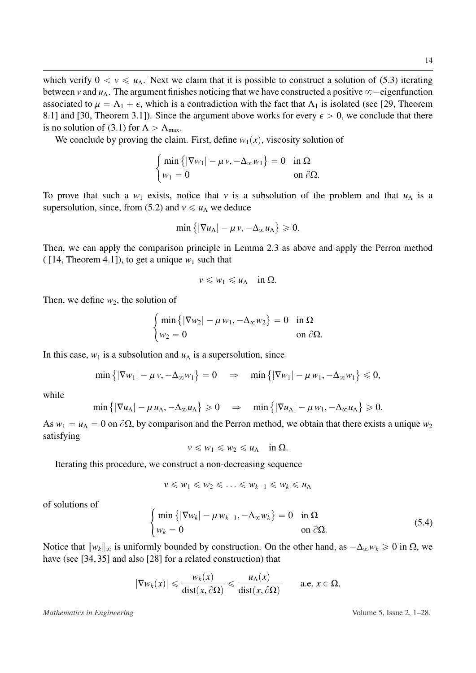which verify  $0 < v \leq u_\Lambda$ . Next we claim that it is possible to construct a solution of [\(5.3\)](#page-13-1) iterating between *v* and  $u_\Lambda$ . The argument finishes noticing that we have constructed a positive  $\infty$ —eigenfunction associated to  $\mu = \Lambda_1 + \epsilon$ , which is a contradiction with the fact that  $\Lambda_1$  is isolated (see [\[29,](#page-28-11) Theorem 8.1] and [\[30,](#page-28-4) Theorem 3.1]). Since the argument above works for every  $\epsilon > 0$ , we conclude that there is no solution of [\(3.1\)](#page-5-1) for  $\Lambda > \Lambda_{\text{max}}$ .

We conclude by proving the claim. First, define  $w_1(x)$ , viscosity solution of

#

$$
\begin{cases} \min\left\{ |\nabla w_1| - \mu v, -\Delta_{\infty} w_1 \right\} = 0 & \text{in } \Omega \\ w_1 = 0 & \text{on } \partial \Omega. \end{cases}
$$

To prove that such a  $w_1$  exists, notice that  $v$  is a subsolution of the problem and that  $u_\Lambda$  is a supersolution, since, from [\(5.2\)](#page-13-0) and  $v \le u_{\Lambda}$  we deduce

$$
\min\left\{|\nabla u_{\Lambda}| - \mu v, -\Delta_{\infty} u_{\Lambda}\right\} \geqslant 0.
$$

(

Then, we can apply the comparison principle in Lemma [2.3](#page-4-1) as above and apply the Perron method (  $[14,$  Theorem 4.1]), to get a unique  $w_1$  such that

$$
v\leqslant w_1\leqslant u_\Lambda\quad\text{in }\Omega.
$$

Then, we define  $w_2$ , the solution of #

$$
\begin{cases} \min\left\{ |\nabla w_2| - \mu w_1, -\Delta_{\infty} w_2 \right\} = 0 & \text{in } \Omega \\ w_2 = 0 & \text{on } \partial \Omega. \end{cases}
$$

In this case,  $w_1$  is a subsolution and  $u_\Lambda$  is a supersolution, since

$$
\min\left\{|\nabla w_1| - \mu v, -\Delta_{\infty} w_1\right\} = 0 \quad \Rightarrow \quad \min\left\{|\nabla w_1| - \mu w_1, -\Delta_{\infty} w_1\right\} \leq 0,
$$

while

$$
\min\left\{|\nabla u_{\Lambda}| - \mu u_{\Lambda}, -\Delta_{\infty} u_{\Lambda}\right\} \geq 0 \quad \Rightarrow \quad \min\left\{|\nabla u_{\Lambda}| - \mu w_1, -\Delta_{\infty} u_{\Lambda}\right\} \geq 0.
$$

As  $w_1 = u_\Lambda = 0$  on  $\partial\Omega$ , by comparison and the Perron method, we obtain that there exists a unique  $w_2$ satisfying

$$
v\leqslant w_1\leqslant w_2\leqslant u_\Lambda\quad\text{in }\Omega.
$$

Iterating this procedure, we construct a non-decreasing sequence

#

$$
v \leqslant w_1 \leqslant w_2 \leqslant \ldots \leqslant w_{k-1} \leqslant w_k \leqslant u_\Lambda
$$

of solutions of

<span id="page-14-0"></span>
$$
\begin{cases}\n\min\left\{|\nabla w_k| - \mu w_{k-1}, -\Delta_{\infty} w_k\right\} = 0 & \text{in } \Omega \\
w_k = 0 & \text{on } \partial\Omega.\n\end{cases}
$$
\n(5.4)

Notice that  $||w_k||_{\infty}$  is uniformly bounded by construction. On the other hand, as  $-\Delta_{\infty} w_k ≥ 0$  in Ω, we have (see [\[34,](#page-28-12) [35\]](#page-28-7) and also [\[28\]](#page-28-13) for a related construction) that

$$
|\nabla w_k(x)| \leq \frac{w_k(x)}{\text{dist}(x, \partial \Omega)} \leq \frac{u_\Lambda(x)}{\text{dist}(x, \partial \Omega)} \quad \text{a.e. } x \in \Omega,
$$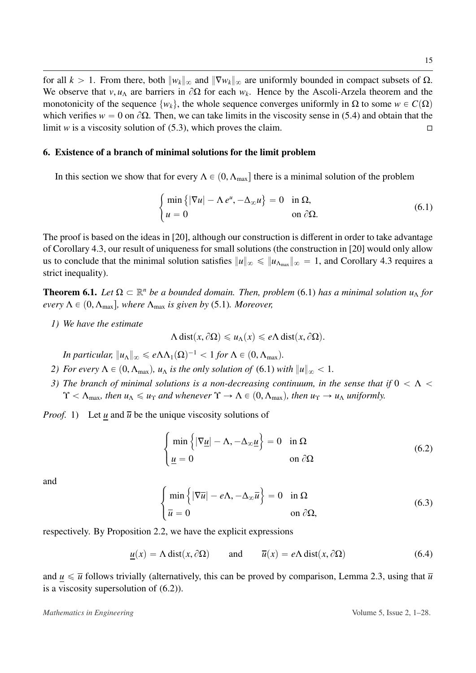for all  $k > 1$ . From there, both  $||w_k||_{\infty}$  and  $||\nabla w_k||_{\infty}$  are uniformly bounded in compact subsets of  $\Omega$ . We observe that *v*, *u*<sub>Λ</sub> are barriers in  $\partial\Omega$  for each *w<sub>k</sub>*. Hence by the Ascoli-Arzela theorem and the monotonicity of the sequence *by* the whole sequence converges uniformly in O to some  $w \in C(\Omega)$ monotonicity of the sequence  $\{w_k\}$ , the whole sequence converges uniformly in  $\Omega$  to some  $w \in C(\Omega)$ which verifies  $w = 0$  on  $\partial\Omega$ . Then, we can take limits in the viscosity sense in [\(5.4\)](#page-14-0) and obtain that the limit *w* is a viscosity solution of [\(5.3\)](#page-13-1), which proves the claim.

### <span id="page-15-0"></span>6. Existence of a branch of minimal solutions for the limit problem

#

In this section we show that for every  $\Lambda \in (0, \Lambda_{\text{max}}]$  there is a minimal solution of the problem

<span id="page-15-1"></span>
$$
\begin{cases} \min\left\{ |\nabla u| - \Lambda e^u, -\Delta_{\infty} u \right\} = 0 & \text{in } \Omega, \\ u = 0 & \text{on } \partial \Omega. \end{cases}
$$
 (6.1)

The proof is based on the ideas in [\[20\]](#page-27-4), although our construction is different in order to take advantage of Corollary [4.3,](#page-8-0) our result of uniqueness for small solutions (the construction in [\[20\]](#page-27-4) would only allow us to conclude that the minimal solution satisfies  $||u||_{\infty} \le ||u_{\Lambda_{\max}}||_{\infty} = 1$ , and Corollary [4.3](#page-8-0) requires a strict inequality).

<span id="page-15-5"></span>**Theorem 6.1.** Let  $\Omega \subset \mathbb{R}^n$  be a bounded domain. Then, problem [\(6.1\)](#page-15-1) has a minimal solution  $u_\Lambda$  for *every*  $\Lambda \in (0, \Lambda_{\text{max}}]$ *, where*  $\Lambda_{\text{max}}$  *is given by* [\(5.1\)](#page-12-1)*. Moreover,* 

*1) We have the estimate*

$$
\Lambda \operatorname{dist}(x, \partial \Omega) \leq u_{\Lambda}(x) \leq e \Lambda \operatorname{dist}(x, \partial \Omega).
$$

*In particular,*  $||u_\Lambda||_\infty \leqslant e\Lambda \Lambda_1(\Omega)^{-1} < 1$  *for*  $\Lambda \in (0, \Lambda_{\max})$ *.* 

- *2) For every*  $\Lambda \in (0, \Lambda_{\text{max}})$ *, u*<sub> $\Lambda$ </sub> *is the only solution of* [\(6.1\)](#page-15-1) *with*  $||u||_{\infty} < 1$ *.*
- *3)* The branch of minimal solutions is a non-decreasing continuum, in the sense that if  $0 < \Lambda <$  $\Upsilon < \Lambda_{\text{max}}$ , then  $u_{\Lambda} \leq u_{\Upsilon}$  and whenever  $\Upsilon \to \Lambda \in (0, \Lambda_{\text{max}})$ , then  $u_{\Upsilon} \to u_{\Lambda}$  uniformly.

*Proof.* 1) Let *u* and  $\overline{u}$  be the unique viscosity solutions of

<span id="page-15-2"></span>
$$
\begin{cases} \min\left\{ |\nabla \underline{u}| - \Lambda, -\Delta_{\infty} \underline{u} \right\} = 0 & \text{in } \Omega \\ \underline{u} = 0 & \text{on } \partial \Omega \end{cases}
$$
(6.2)

and

<span id="page-15-3"></span>
$$
\begin{cases}\n\min \left\{ |\nabla \overline{u}| - e\Lambda, -\Delta_{\infty} \overline{u} \right\} = 0 & \text{in } \Omega \\
\overline{u} = 0 & \text{on } \partial \Omega,\n\end{cases}
$$
\n(6.3)

respectively. By Proposition [2.2,](#page-4-0) we have the explicit expressions

<span id="page-15-4"></span>
$$
\underline{u}(x) = \Lambda \operatorname{dist}(x, \partial \Omega) \quad \text{and} \quad \overline{u}(x) = e \Lambda \operatorname{dist}(x, \partial \Omega) \tag{6.4}
$$

and  $u \leq \overline{u}$  follows trivially (alternatively, this can be proved by comparison, Lemma [2.3,](#page-4-1) using that  $\overline{u}$ is a viscosity supersolution of [\(6.2\)](#page-15-2)).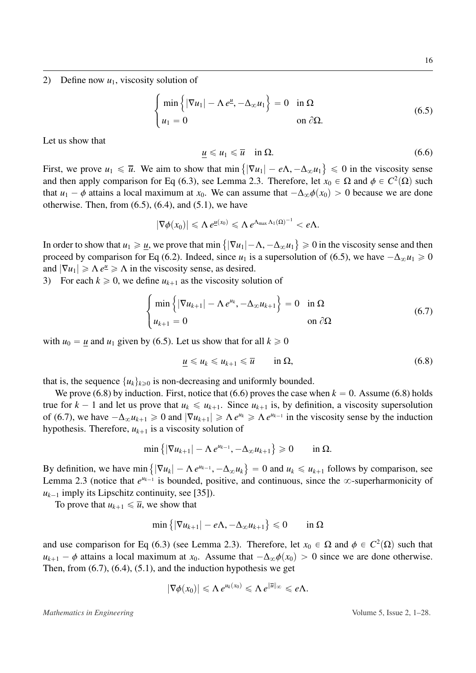2) Define now  $u_1$ , viscosity solution of

<span id="page-16-0"></span>
$$
\begin{cases} \min \{ |\nabla u_1| - \Lambda e^{\underline{u}}, -\Delta_{\infty} u_1 \} = 0 & \text{in } \Omega \\ u_1 = 0 & \text{on } \partial \Omega. \end{cases}
$$
 (6.5)

Let us show that

<span id="page-16-2"></span>
$$
\underline{u} \leq u_1 \leq \overline{u} \quad \text{in } \Omega. \tag{6.6}
$$

First, we prove  $u_1 \le \overline{u}$ . We aim to show that min {  $|\nabla u_1| - e\Lambda, -\Delta_{\infty} u_1\} \le 0$  in the viscosity sense<br>2.3 Therefore, let  $x_i \in \Omega$  and  $\phi \in C^2(\Omega)$  such and then apply comparison for Eq [\(6.3\)](#page-15-3), see Lemma [2.3.](#page-4-1) Therefore, let  $x_0 \in \Omega$  and  $\phi \in C^2(\Omega)$  such that  $u_0 = \phi$  attains a local maximum at  $x_0$ . We can assume that  $-\Delta$ ,  $\phi(x_0) > 0$  because we are done that  $u_1 - \phi$  attains a local maximum at  $x_0$ . We can assume that  $-\Delta_{\infty}\phi(x_0) > 0$  because we are done otherwise. Then, from  $(6.5)$ ,  $(6.4)$ , and  $(5.1)$ , we have

$$
|\nabla \phi(x_0)| \leqslant \Lambda e^{\underline{u}(x_0)} \leqslant \Lambda e^{\Lambda_{\max} \Lambda_1(\Omega)^{-1}} < e\Lambda.
$$

In order to show that  $u_1 \geq u$ , we prove that min {  $|\nabla u_1| - \Lambda, -\Delta_{\infty} u_1$   $\ge 0$  in the viscosity sense and then<br>ce  $u_1$  is a supersolution of (6.5), we have  $-\Lambda, u_2 > 0$ proceed by comparison for Eq [\(6.2\)](#page-15-2). Indeed, since *u*<sub>1</sub> is a supersolution of [\(6.5\)](#page-16-0), we have  $-\Delta_{\infty}u_1 \ge 0$ and  $|\nabla u_1| \ge \Lambda e^u \ge \Lambda$  in the viscosity sense, as desired.

3) For each  $k \ge 0$ , we define  $u_{k+1}$  as the viscosity solution of

<span id="page-16-3"></span>
$$
\begin{cases}\n\min \left\{ |\nabla u_{k+1}| - \Lambda e^{u_k}, -\Delta_{\infty} u_{k+1} \right\} = 0 & \text{in } \Omega \\
u_{k+1} = 0 & \text{on } \partial \Omega\n\end{cases}
$$
\n(6.7)

with  $u_0 = u$  and  $u_1$  given by [\(6.5\)](#page-16-0). Let us show that for all  $k \ge 0$ 

<span id="page-16-1"></span>
$$
\underline{u} \leq u_k \leq u_{k+1} \leq \overline{u} \qquad \text{in } \Omega, \tag{6.8}
$$

that is, the sequence  $\{u_k\}_{k\geq 0}$  is non-decreasing and uniformly bounded.

We prove [\(6.8\)](#page-16-1) by induction. First, notice that [\(6.6\)](#page-16-2) proves the case when  $k = 0$ . Assume (6.8) holds true for  $k - 1$  and let us prove that  $u_k \le u_{k+1}$ . Since  $u_{k+1}$  is, by definition, a viscosity supersolution of [\(6.7\)](#page-16-3), we have  $-\Delta_{\infty}u_{k+1} \ge 0$  and  $|\nabla u_{k+1}| \ge \Lambda e^{u_k} \ge \Lambda e^{u_{k-1}}$  in the viscosity sense by the induction hypothesis. Therefore,  $u_{k+1}$  is a viscosity solution of

$$
\min\left\{|\nabla u_{k+1}| - \Lambda e^{u_{k-1}}, -\Delta_{\infty} u_{k+1}\right\} \geq 0 \quad \text{in } \Omega.
$$

 $\mathbf{r}$ 

**(A)** 

By definition, we have min  $\{|\nabla u_k| - \Lambda e^{u_{k-1}}, -\Delta_{\infty} u_k\} = 0$  and  $u_k \le u_{k+1}$  follows by comparison, see **(A)** Lemma [2.3](#page-4-1) (notice that  $e^{u_{k-1}}$  is bounded, positive, and continuous, since the  $\infty$ -superharmonicity of  $u_{k-1}$  imply its Lipschitz continuity, see [\[35\]](#page-28-7)).

To prove that  $u_{k+1} \leq \overline{u}$ , we show that

$$
\min\left\{|\nabla u_{k+1}| - e\Lambda, -\Delta_{\infty} u_{k+1}\right\} \leq 0 \qquad \text{in } \Omega
$$

and use comparison for Eq [\(6.3\)](#page-15-3) (see Lemma [2.3\)](#page-4-1). Therefore, let  $x_0 \in \Omega$  and  $\phi \in C^2(\Omega)$  such that  $u_{k+1}$  –  $\phi$  attains a local maximum at *x*<sub>0</sub>. Assume that  $-\Delta_{\infty}\phi(x_0) > 0$  since we are done otherwise. Then, from  $(6.7)$ ,  $(6.4)$ ,  $(5.1)$ , and the induction hypothesis we get

$$
|\nabla \phi(x_0)| \leqslant \Lambda e^{u_k(x_0)} \leqslant \Lambda e^{\|\overline{u}\|_{\infty}} \leqslant e\Lambda.
$$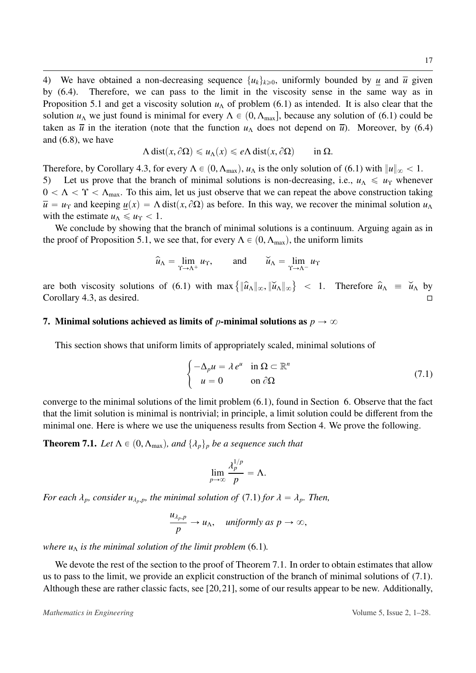4) We have obtained a non-decreasing sequence  $\{u_k\}_{k\geqslant 0}$ , uniformly bounded by <u>u</u> and  $\overline{u}$  given by [\(6.4\)](#page-15-4). Therefore, we can pass to the limit in the viscosity sense in the same way as in Proposition [5.1](#page-12-2) and get a viscosity solution  $u_\Lambda$  of problem [\(6.1\)](#page-15-1) as intended. It is also clear that the solution  $u_\Lambda$  we just found is minimal for every  $\Lambda \in (0, \Lambda_{\text{max}}]$ , because any solution of [\(6.1\)](#page-15-1) could be taken as  $\bar{u}$  in the iteration (note that the function  $u_\Lambda$  does not depend on  $\bar{u}$ ). Moreover, by [\(6.4\)](#page-15-4) and [\(6.8\)](#page-16-1), we have

$$
\Lambda \operatorname{dist}(x, \partial \Omega) \leq u_{\Lambda}(x) \leq e \Lambda \operatorname{dist}(x, \partial \Omega) \qquad \text{in } \Omega.
$$

Therefore, by Corollary [4.3,](#page-8-0) for every  $\Lambda \in (0, \Lambda_{\text{max}}), u_{\Lambda}$  is the only solution of [\(6.1\)](#page-15-1) with  $||u||_{\infty} < 1$ .<br>5) Let us prove that the branch of minimal solutions is non-decreasing, i.e.,  $u_{\Lambda} \le u_{\Upsilon}$  whenev Let us prove that the branch of minimal solutions is non-decreasing, i.e.,  $u_\Lambda \leq u_\Upsilon$  whenever  $0 < \Lambda < \Upsilon < \Lambda_{\text{max}}$ . To this aim, let us just observe that we can repeat the above construction taking  $\overline{u} = u_{\Upsilon}$  and keeping  $u(x) = \Lambda \text{ dist}(x, \partial \Omega)$  as before. In this way, we recover the minimal solution  $u_{\Lambda}$ with the estimate  $u_\Lambda \leq u_\Upsilon < 1$ .

We conclude by showing that the branch of minimal solutions is a continuum. Arguing again as in the proof of Proposition [5.1,](#page-12-2) we see that, for every  $\Lambda \in (0, \Lambda_{\text{max}})$ , the uniform limits

$$
\widehat{u}_{\Lambda} = \lim_{\Upsilon \to \Lambda^{+}} u_{\Upsilon}, \quad \text{and} \quad \widecheck{u}_{\Lambda} = \lim_{\Upsilon \to \Lambda^{-}} u_{\Upsilon}
$$

are both viscosity solutions of  $(6.1)$  with max  $\{$  $\|\widehat{u}_{\Lambda}\|_{\infty}$ ,  $\|\widecheck{u}_{\Lambda}\|_{\infty}$  $<$  1. Therefore  $\hat{u}_{\Lambda} \equiv \check{u}_{\Lambda}$  by Corollary [4.3,](#page-8-0) as desired.

#### <span id="page-17-0"></span>7. Minimal solutions achieved as limits of *p*-minimal solutions as  $p \to \infty$

This section shows that uniform limits of appropriately scaled, minimal solutions of

<span id="page-17-1"></span>
$$
\begin{cases}\n-\Delta_p u = \lambda e^u & \text{in } \Omega \subset \mathbb{R}^n \\
u = 0 & \text{on } \partial\Omega\n\end{cases}
$$
\n(7.1)

converge to the minimal solutions of the limit problem [\(6.1\)](#page-15-1), found in Section [6.](#page-15-0) Observe that the fact that the limit solution is minimal is nontrivial; in principle, a limit solution could be different from the minimal one. Here is where we use the uniqueness results from Section [4.](#page-7-0) We prove the following.

<span id="page-17-2"></span>**Theorem 7.1.** *Let*  $\Lambda \in (0, \Lambda_{\text{max}})$ *, and*  $\{\lambda_p\}_p$  *be a sequence such that* 

$$
\lim_{p\to\infty}\frac{\lambda_p^{1/p}}{p}=\Lambda.
$$

*For each*  $\lambda_p$ *, consider*  $u_{\lambda_p,p}$ *, the minimal solution of* [\(7.1\)](#page-17-1) *for*  $\lambda = \lambda_p$ *. Then,* 

$$
\frac{u_{\lambda_p,p}}{p} \to u_\Lambda, \quad \text{uniformly as } p \to \infty,
$$

*where*  $u_{\Lambda}$  *is the minimal solution of the limit problem* [\(6.1\)](#page-15-1)*.* 

We devote the rest of the section to the proof of Theorem [7.1.](#page-17-2) In order to obtain estimates that allow us to pass to the limit, we provide an explicit construction of the branch of minimal solutions of [\(7.1\)](#page-17-1). Although these are rather classic facts, see [\[20,](#page-27-4)[21\]](#page-27-5), some of our results appear to be new. Additionally,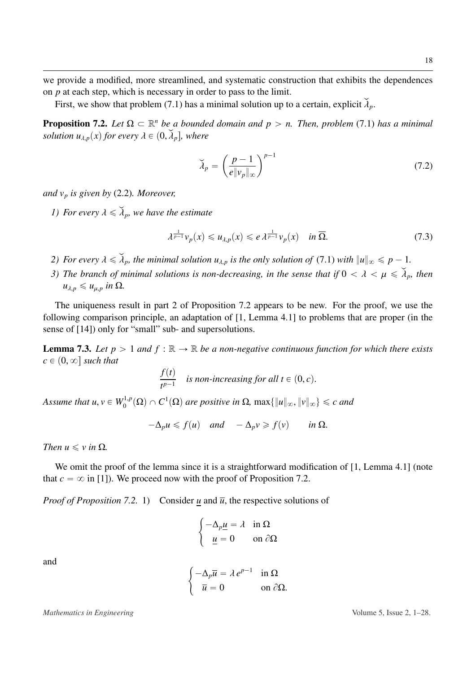we provide a modified, more streamlined, and systematic construction that exhibits the dependences on *p* at each step, which is necessary in order to pass to the limit.

First, we show that problem [\(7.1\)](#page-17-1) has a minimal solution up to a certain, explicit  $\lambda_p$ .

<span id="page-18-0"></span>**Proposition 7.2.** Let  $\Omega \subset \mathbb{R}^n$  be a bounded domain and  $p > n$ . Then, problem [\(7.1\)](#page-17-1) has a minimal *solution*  $u_{\lambda,p}(x)$  for every  $\lambda \in (0, \lambda_p]$ , where

<span id="page-18-1"></span>
$$
\widetilde{\lambda}_p = \left(\frac{p-1}{e\|\mathbf{v}_p\|_{\infty}}\right)^{p-1} \tag{7.2}
$$

*and v<sup>p</sup> is given by* [\(2.2\)](#page-4-2)*. Moreover,*

*1)* For every  $\lambda \leq \lambda_p$ , we have the estimate

<span id="page-18-2"></span>
$$
\lambda^{\frac{1}{p-1}}\nu_p(x) \leq u_{\lambda,p}(x) \leq e \lambda^{\frac{1}{p-1}}\nu_p(x) \quad \text{in } \overline{\Omega}.\tag{7.3}
$$

- *2)* For every  $\lambda \leq \lambda_p$ , the minimal solution  $u_{\lambda,p}$  is the only solution of [\(7.1\)](#page-17-1) with  $||u||_{\infty} \leq p-1$ .
- *3)* The branch of minimal solutions is non-decreasing, in the sense that if  $0 < \lambda < \mu \leq \tilde{\lambda}_p$ , then  $u_{\lambda,p} \leq u_{\mu,p}$  *in*  $\Omega$ *.*

The uniqueness result in part 2 of Proposition [7.2](#page-18-0) appears to be new. For the proof, we use the following comparison principle, an adaptation of [\[1,](#page-26-9) Lemma 4.1] to problems that are proper (in the sense of [\[14\]](#page-27-13)) only for "small" sub- and supersolutions.

<span id="page-18-3"></span>**Lemma 7.3.** Let  $p > 1$  and  $f : \mathbb{R} \to \mathbb{R}$  be a non-negative continuous function for which there exists  $c \in (0, \infty]$  *such that* 

$$
\frac{f(t)}{t^{p-1}} \quad \text{is non-increasing for all } t \in (0, c).
$$

*Assume that u,*  $v \in W_0^{1,p}(\Omega) \cap C^1(\Omega)$  are positive in  $\Omega$ ,  $\max\{\Vert u \Vert_\infty, \Vert v \Vert_\infty\} \leq c$  and

$$
-\Delta_p u \leq f(u) \quad \text{and} \quad -\Delta_p v \geq f(v) \quad \text{in } \Omega.
$$

*Then*  $u \leq v$  *in*  $\Omega$ *.* 

We omit the proof of the lemma since it is a straightforward modification of [\[1,](#page-26-9) Lemma 4.1] (note that  $c = \infty$  in [\[1\]](#page-26-9)). We proceed now with the proof of Proposition [7.2.](#page-18-0)

*Proof of Proposition* [7.2.](#page-18-0) 1) Consider *u* and  $\overline{u}$ , the respective solutions of

$$
\begin{cases}\n-\Delta_p \underline{u} = \lambda & \text{in } \Omega \\
\underline{u} = 0 & \text{on } \partial \Omega\n\end{cases}
$$
\n
$$
\begin{cases}\n-\Delta_p \overline{u} = \lambda e^{p-1} & \text{in } \Omega\n\end{cases}
$$

 $\overline{u} = 0$  on  $\partial \Omega$ .

and

*Mathematics in Engineering* Volume 5, Issue 2, 1–28.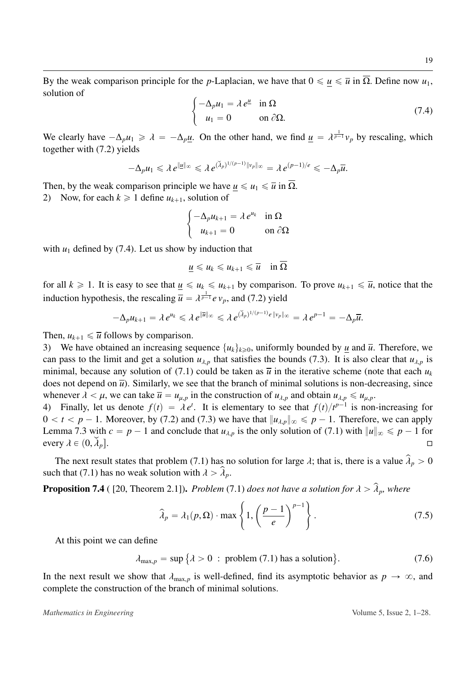By the weak comparison principle for the *p*-Laplacian, we have that  $0 \le u \le \overline{u}$  in  $\overline{\Omega}$ . Define now  $u_1$ , solution of #

<span id="page-19-0"></span>
$$
\begin{cases}\n-\Delta_p u_1 = \lambda e^{\underline{\mu}} & \text{in } \Omega \\
u_1 = 0 & \text{on } \partial \Omega.\n\end{cases}
$$
\n(7.4)

We clearly have  $-\Delta_p u_1 \ge \lambda = -\Delta_p \underline{u}$ . On the other hand, we find  $\underline{u} = \lambda^{\frac{1}{p-1}} v_p$  by rescaling, which together with [\(7.2\)](#page-18-1) yields

$$
-\Delta_p u_1 \leq \lambda e^{\|\underline{u}\|_{\infty}} \leq \lambda e^{(\widetilde{\lambda}_p)^{1/(p-1)}\|\nu_p\|_{\infty}} = \lambda e^{(p-1)/e} \leq -\Delta_p \overline{u}.
$$

Then, by the weak comparison principle we have  $u \leq u_1 \leq \overline{u}$  in  $\overline{\Omega}$ . 2) Now, for each  $k \geq 1$  define  $u_{k+1}$ , solution of

$$
\begin{cases}\n-\Delta_p u_{k+1} = \lambda e^{u_k} & \text{in } \Omega\\ \nu_{k+1} = 0 & \text{on } \partial\Omega\n\end{cases}
$$

with  $u_1$  defined by [\(7.4\)](#page-19-0). Let us show by induction that

$$
\underline{u}\leq u_k\leq u_{k+1}\leq \overline{u}\quad\text{in }\Omega
$$

for all  $k \ge 1$ . It is easy to see that  $u \le u_k \le u_{k+1}$  by comparison. To prove  $u_{k+1} \le \overline{u}$ , notice that the induction hypothesis, the rescaling  $\overline{u} = \lambda^{\frac{1}{p-1}} e v_p$ , and [\(7.2\)](#page-18-1) yield

$$
-\Delta_p u_{k+1} = \lambda e^{u_k} \leq \lambda e^{\|\overline{u}\|_{\infty}} \leq \lambda e^{(\widetilde{\lambda}_p)^{1/(p-1)}e\|v_p\|_{\infty}} = \lambda e^{p-1} = -\Delta_p \overline{u}.
$$

Then,  $u_{k+1} \leq \overline{u}$  follows by comparison.

3) We have obtained an increasing sequence  $\{u_k\}_{k\geq 0}$ , uniformly bounded by *u* and  $\overline{u}$ . Therefore, we can pass to the limit and get a solution  $u_{\lambda,p}$  that satisfies the bounds [\(7.3\)](#page-18-2). It is also clear that  $u_{\lambda,p}$  is minimal, because any solution of [\(7.1\)](#page-17-1) could be taken as  $\overline{u}$  in the iterative scheme (note that each  $u_k$ does not depend on  $\bar{u}$ ). Similarly, we see that the branch of minimal solutions is non-decreasing, since whenever  $\lambda < \mu$ , we can take  $\overline{u} = u_{\mu,p}$  in the construction of  $u_{\lambda,p}$  and obtain  $u_{\lambda,p} \leq u_{\mu,p}$ .

4) Finally, let us denote  $f(t) = \lambda e^t$ . It is elementary to see that  $f(t)/t^{p-1}$  is non-increasing for  $0 < t < p-1$ . Moreover, by (7.2) and (7.3) we have that  $\|u_{\lambda}\| < p-1$ . Therefore, we can apply  $0 < t < p - 1$ . Moreover, by [\(7.2\)](#page-18-1) and [\(7.3\)](#page-18-2) we have that  $||u_{\lambda,p}||_{\infty} \leq p - 1$ . Therefore, we can apply Lemma [7.3](#page-18-3) with  $c = p - 1$  and conclude that  $u_{\lambda,p}$  is the only solution of [\(7.1\)](#page-17-1) with  $||u||_{\infty} \le p - 1$  for every  $\lambda \in (0, \lambda_p]$ .

The next result states that problem [\(7.1\)](#page-17-1) has no solution for large  $\lambda$ ; that is, there is a value  $\hat{\lambda}_p > 0$ such that [\(7.1\)](#page-17-1) has no weak solution with  $\lambda > \hat{\lambda}_p$ .

<span id="page-19-3"></span>**Proposition 7.4** ( [\[20,](#page-27-4) Theorem 2.1]). *Problem* [\(7.1\)](#page-17-1) *does not have a solution for*  $\lambda > \hat{\lambda}_p$ *, where* 

<span id="page-19-2"></span>
$$
\widehat{\lambda}_p = \lambda_1(p, \Omega) \cdot \max \left\{ 1, \left( \frac{p-1}{e} \right)^{p-1} \right\}.
$$
 (7.5)

At this point we can define

<span id="page-19-1"></span> $\lambda_{\max,p} = \sup \{ \lambda > 0 \, : \, \text{problem (7.1) has a solution} \}$  $\lambda_{\max,p} = \sup \{ \lambda > 0 \, : \, \text{problem (7.1) has a solution} \}$  $\lambda_{\max,p} = \sup \{ \lambda > 0 \, : \, \text{problem (7.1) has a solution} \}$  $(7.6)$ 

In the next result we show that  $\lambda_{\max,p}$  is well-defined, find its asymptotic behavior as  $p \to \infty$ , and complete the construction of the branch of minimal solutions.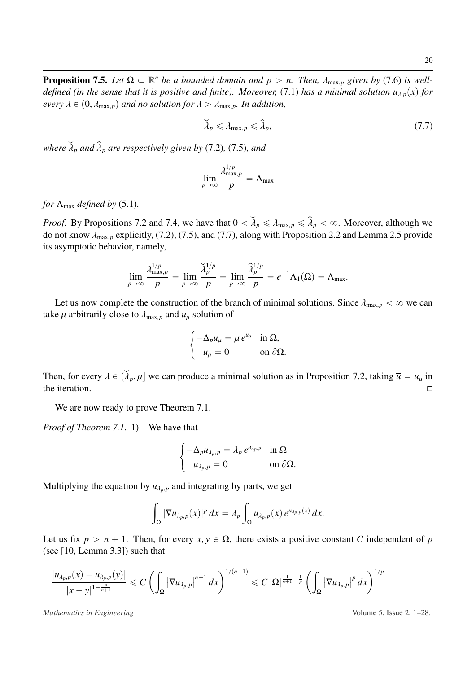**Proposition 7.5.** *Let*  $\Omega \subset \mathbb{R}^n$  *be a bounded domain and p* > *n. Then,*  $\lambda_{\max,p}$  *given by* [\(7.6\)](#page-19-1) *is well-defined (in the sense that it is positive and finite). Moreover* (7.1) *has a minimal solution u.* (*x defined (in the sense that it is positive and finite). Moreover, [\(7.1\)](#page-17-1) has a minimal solution*  $u_{\lambda,p}(x)$  *for every*  $\lambda \in (0, \lambda_{\max,p})$  *and no solution for*  $\lambda > \lambda_{\max,p}$ *. In addition,* 

<span id="page-20-0"></span>
$$
\widetilde{\lambda}_p \leq \lambda_{\max,p} \leq \widehat{\lambda}_p,\tag{7.7}
$$

*where*  $\tilde{\lambda}_p$  *and*  $\hat{\lambda}_p$  *are respectively given by* [\(7.2\)](#page-18-1)*,* (7.5*), and* 

$$
\lim_{p \to \infty} \frac{\lambda_{\max,p}^{1/p}}{p} = \Lambda_{\max}
$$

*for*  $\Lambda_{\text{max}}$  *defined by* [\(5.1\)](#page-12-1).

*Proof.* By Propositions [7.2](#page-18-0) and [7.4,](#page-19-3) we have that  $0 < \tilde{\lambda}_p \le \lambda_{\max,p} \le \hat{\lambda}_p < \infty$ . Moreover, although we do not know  $\lambda_{\text{max},p}$  explicitly, [\(7.2\)](#page-18-1), [\(7.5\)](#page-19-2), and [\(7.7\)](#page-20-0), along with Proposition [2.2](#page-4-0) and Lemma [2.5](#page-5-2) provide its asymptotic behavior, namely,

$$
\lim_{p\to\infty}\frac{\lambda_{\max,p}^{1/p}}{p}=\lim_{p\to\infty}\frac{\widetilde{\lambda}_p^{1/p}}{p}=\lim_{p\to\infty}\frac{\widehat{\lambda}_p^{1/p}}{p}=e^{-1}\Lambda_1(\Omega)=\Lambda_{\max}.
$$

Let us now complete the construction of the branch of minimal solutions. Since  $\lambda_{\text{max},p} < \infty$  we can take  $\mu$  arbitrarily close to  $\lambda_{\text{max},p}$  and  $u_{\mu}$  solution of

#

$$
\begin{cases}\n-\Delta_p u_\mu = \mu e^{u_\mu} & \text{in } \Omega, \\
u_\mu = 0 & \text{on } \partial \Omega.\n\end{cases}
$$

Then, for every  $\lambda \in (\lambda_p, \mu]$  we can produce a minimal solution as in Proposition [7.2,](#page-18-0) taking  $\overline{u} = u_\mu$  in the iteration. the iteration.  $\Box$ 

We are now ready to prove Theorem [7.1.](#page-17-2)

*Proof of Theorem [7.1.](#page-17-2)* 1) We have that

$$
\begin{cases}\n-\Delta_p u_{\lambda_p,p} = \lambda_p e^{u_{\lambda_p,p}} & \text{in } \Omega \\
u_{\lambda_p,p} = 0 & \text{on } \partial\Omega.\n\end{cases}
$$

Multiplying the equation by  $u_{\lambda_p,p}$  and integrating by parts, we get

$$
\int_{\Omega}|\nabla u_{\lambda_p,p}(x)|^p\,dx=\lambda_p\int_{\Omega}u_{\lambda_p,p}(x)\,e^{u_{\lambda_p,p}(x)}\,dx.
$$

Let us fix  $p > n + 1$ . Then, for every  $x, y \in \Omega$ , there exists a positive constant *C* independent of *p* (see [\[10,](#page-26-5) Lemma 3.3]) such that

$$
\frac{|u_{\lambda_p,p}(x)-u_{\lambda_p,p}(y)|}{|x-y|^{1-\frac{n}{n+1}}}\leqslant C\left(\int_{\Omega}\left|\nabla u_{\lambda_p,p}\right|^{n+1}dx\right)^{1/(n+1)}\leqslant C\left|\Omega\right|^{\frac{1}{n+1}-\frac{1}{p}}\left(\int_{\Omega}\left|\nabla u_{\lambda_p,p}\right|^{p}dx\right)^{1/p}
$$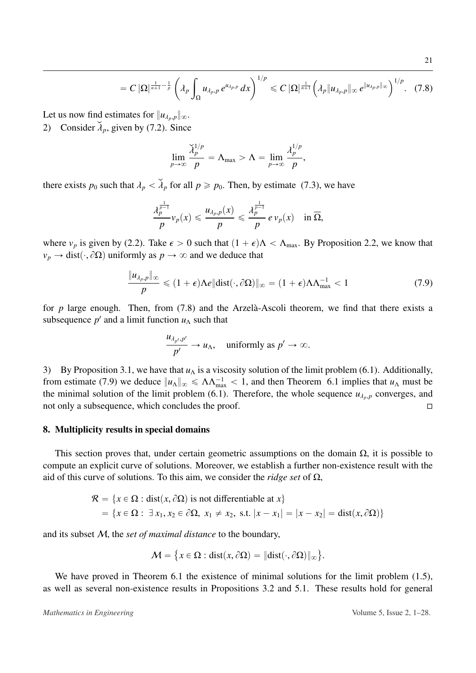Let us now find estimates for  $||u_{\lambda_p,p}||_{\infty}$ .

2) Consider  $\lambda_p$ , given by [\(7.2\)](#page-18-1). Since

<span id="page-21-1"></span>
$$
\lim_{p\to\infty}\frac{\widetilde{\lambda}_p^{1/p}}{p}=\Lambda_{\max}>\Lambda=\lim_{p\to\infty}\frac{\lambda_p^{1/p}}{p},
$$

there exists  $p_0$  such that  $\lambda_p < \lambda_p$  for all  $p \ge p_0$ . Then, by estimate [\(7.3\)](#page-18-2), we have

$$
\frac{\lambda_p^{\frac{1}{p-1}}}{p}v_p(x) \leq \frac{u_{\lambda_p,p}(x)}{p} \leq \frac{\lambda_p^{\frac{1}{p-1}}}{p} e v_p(x) \quad \text{in } \overline{\Omega},
$$

where  $v_p$  is given by [\(2.2\)](#page-4-2). Take  $\epsilon > 0$  such that  $(1 + \epsilon)\Lambda < \Lambda_{\text{max}}$ . By Proposition [2.2,](#page-4-0) we know that  $v_p \rightarrow \text{dist}(\cdot, \partial \Omega)$  uniformly as  $p \rightarrow \infty$  and we deduce that

<span id="page-21-2"></span>
$$
\frac{\|u_{\lambda_p,p}\|_{\infty}}{p} \leq (1+\epsilon)\Lambda e \|\text{dist}(\cdot,\partial\Omega)\|_{\infty} = (1+\epsilon)\Lambda\Lambda_{\max}^{-1} < 1 \tag{7.9}
$$

for  $p$  large enough. Then, from  $(7.8)$  and the Arzela-Ascoli theorem, we find that there exists a subsequence  $p'$  and a limit function  $u<sub>Λ</sub>$  such that

$$
\frac{u_{\lambda_{p'},p'}}{p'} \to u_{\Lambda}, \quad \text{uniformly as } p' \to \infty.
$$

3) By Proposition [3.1,](#page-5-3) we have that  $u<sub>Λ</sub>$  is a viscosity solution of the limit problem [\(6.1\)](#page-15-1). Additionally, from estimate [\(7.9\)](#page-21-2) we deduce  $||u_\Lambda||_\infty \le \Lambda \Lambda_{\text{max}}^{-1} < 1$ , and then Theorem [6.1](#page-15-5) implies that  $u_\Lambda$  must be the minimal solution of the limit problem [\(6.1\)](#page-15-1). Therefore, the whole sequence  $u_{\lambda_p,p}$  converges, and not only a subsequence which concludes the proof not only a subsequence, which concludes the proof.

#### <span id="page-21-0"></span>8. Multiplicity results in special domains

This section proves that, under certain geometric assumptions on the domain  $\Omega$ , it is possible to compute an explicit curve of solutions. Moreover, we establish a further non-existence result with the aid of this curve of solutions. To this aim, we consider the *ridge set* of Ω,

$$
\mathcal{R} = \{x \in \Omega : \text{dist}(x, \partial \Omega) \text{ is not differentiable at } x\}
$$

$$
= \{x \in \Omega : \exists x_1, x_2 \in \partial \Omega, x_1 \neq x_2, \text{ s.t. } |x - x_1| = |x - x_2| = \text{dist}(x, \partial \Omega)\}
$$

and its subset M, the *set of maximal distance* to the boundary,

$$
\mathcal{M} = \{x \in \Omega : dist(x, \partial \Omega) = ||dist(\cdot, \partial \Omega)||_{\infty}\}.
$$

We have proved in Theorem [6.1](#page-15-5) the existence of minimal solutions for the limit problem [\(1.5\)](#page-2-3), as well as several non-existence results in Propositions [3.2](#page-6-2) and [5.1.](#page-12-2) These results hold for general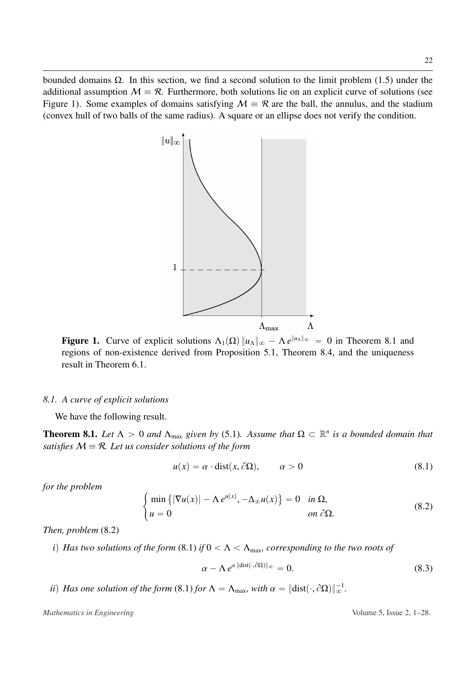bounded domains  $Ω$ . In this section, we find a second solution to the limit problem [\(1.5\)](#page-2-3) under the additional assumption  $M = \mathcal{R}$ . Furthermore, both solutions lie on an explicit curve of solutions (see Figure 1). Some examples of domains satisfying  $M = R$  are the ball, the annulus, and the stadium (convex hull of two balls of the same radius). A square or an ellipse does not verify the condition.



**Figure 1.** Curve of explicit solutions  $\Lambda_1(\Omega) ||u_\Lambda||_{\infty} - \Lambda e^{\|u_\Lambda\|_{\infty}} = 0$  in Theorem [8.1](#page-22-0) and regions of non-existence derived from Proposition [5.1,](#page-12-2) Theorem [8.4,](#page-24-0) and the uniqueness result in Theorem [6.1.](#page-15-5)

#### *8.1. A curve of explicit solutions*

We have the following result.

#

<span id="page-22-0"></span>**Theorem 8.1.** Let  $\Lambda > 0$  and  $\Lambda_{\text{max}}$  given by [\(5.1\)](#page-12-1). Assume that  $\Omega \subset \mathbb{R}^n$  is a bounded domain that *satisfies*  $M \equiv \mathcal{R}$ *. Let us consider solutions of the form* 

<span id="page-22-2"></span>
$$
u(x) = \alpha \cdot \text{dist}(x, \partial \Omega), \qquad \alpha > 0 \tag{8.1}
$$

*for the problem*

<span id="page-22-1"></span>
$$
\begin{cases}\n\min\left\{|\nabla u(x)| - \Lambda e^{u(x)}, -\Delta_{\infty} u(x)\right\} = 0 & \text{in } \Omega, \\
u = 0 & \text{on } \partial\Omega.\n\end{cases}
$$
\n(8.2)

*Then, problem* [\(8.2\)](#page-22-1)

*i)* Has two solutions of the form (8.1) if 
$$
0 < \Lambda < \Lambda_{\text{max}}
$$
, corresponding to the two roots of

<span id="page-22-3"></span>
$$
\alpha - \Lambda e^{\alpha \| \text{dist}(\cdot, \partial \Omega) \|_{\infty}} = 0. \tag{8.3}
$$

*ii*) *Has one solution of the form* [\(8.1\)](#page-22-2) *for*  $\Lambda = \Lambda_{\text{max}}$ *, with*  $\alpha = ||\text{dist}(\cdot, \partial \Omega)||_{\infty}^{-1}$ *.*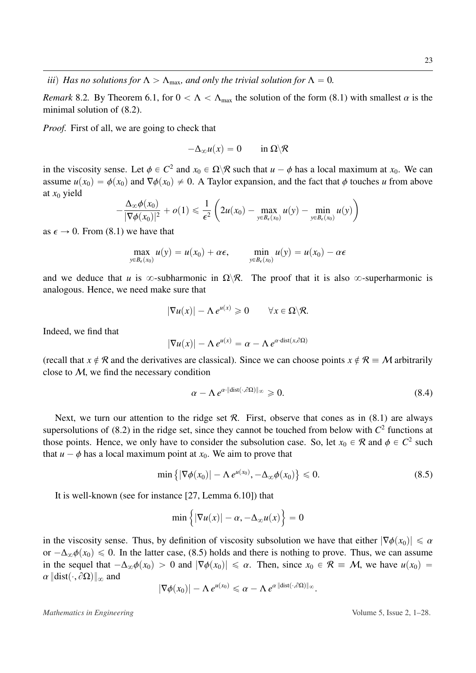*Remark* 8.2. By Theorem [6.1,](#page-15-5) for  $0 < \Lambda < \Lambda_{\text{max}}$  the solution of the form [\(8.1\)](#page-22-2) with smallest  $\alpha$  is the minimal solution of [\(8.2\)](#page-22-1).

*Proof.* First of all, we are going to check that

$$
-\Delta_{\infty}u(x)=0\qquad\text{in }\Omega\backslash\mathcal{R}
$$

in the viscosity sense. Let  $\phi \in C^2$  and  $x_0 \in \Omega \setminus \mathcal{R}$  such that  $u - \phi$  has a local maximum at  $x_0$ . We can<br>assume  $u(x_0) = \phi(x_0)$  and  $\nabla \phi(x_0) \neq 0$ . A Taylor expansion, and the fact that  $\phi$  touches u from abov assume  $u(x_0) = \phi(x_0)$  and  $\nabla \phi(x_0) \neq 0$ . A Taylor expansion, and the fact that  $\phi$  touches *u* from above at *x*<sup>0</sup> yield ˙

$$
-\frac{\Delta_{\infty}\phi(x_0)}{|\nabla\phi(x_0)|^2}+o(1)\leq \frac{1}{\epsilon^2}\left(2u(x_0)-\max_{y\in B_{\epsilon}(x_0)}u(y)-\min_{y\in B_{\epsilon}(x_0)}u(y)\right)
$$

as  $\epsilon \to 0$ . From [\(8.1\)](#page-22-2) we have that

$$
\max_{y \in B_{\epsilon}(x_0)} u(y) = u(x_0) + \alpha \epsilon, \qquad \min_{y \in B_{\epsilon}(x_0)} u(y) = u(x_0) - \alpha \epsilon
$$

and we deduce that *u* is  $\infty$ -subharmonic in  $\Omega \backslash \mathcal{R}$ . The proof that it is also  $\infty$ -superharmonic is analogous. Hence, we need make sure that

$$
|\nabla u(x)| - \Lambda e^{u(x)} \geq 0 \qquad \forall x \in \Omega \backslash \mathcal{R}.
$$

Indeed, we find that

$$
|\nabla u(x)| - \Lambda e^{u(x)} = \alpha - \Lambda e^{\alpha \cdot \text{dist}(x, \partial \Omega)}
$$

(recall that  $x \notin \mathcal{R}$  and the derivatives are classical). Since we can choose points  $x \notin \mathcal{R} \equiv M$  arbitrarily close to  $M$ , we find the necessary condition

<span id="page-23-1"></span>
$$
\alpha - \Lambda \, e^{\alpha \cdot \|\text{dist}(\cdot, \partial \Omega)\|_{\infty}} \geq 0. \tag{8.4}
$$

Next, we turn our attention to the ridge set  $\mathcal{R}$ . First, observe that cones as in [\(8.1\)](#page-22-2) are always supersolutions of  $(8.2)$  in the ridge set, since they cannot be touched from below with  $C<sup>2</sup>$  functions at those points. Hence, we only have to consider the subsolution case. So, let  $x_0 \in \mathcal{R}$  and  $\phi \in C^2$  such that  $y = \phi$  has a local maximum point at  $x_0$ . We aim to prove that that  $u - \phi$  has a local maximum point at  $x_0$ . We aim to prove that

<span id="page-23-0"></span>
$$
\min\left\{|\nabla\phi(x_0)| - \Lambda e^{u(x_0)}, -\Delta_{\infty}\phi(x_0)\right\} \leq 0.
$$
\n(8.5)

It is well-known (see for instance [\[27,](#page-27-10) Lemma 6.10]) that

$$
\min\left\{|\nabla u(x)| - \alpha, -\Delta_{\infty} u(x)\right\} = 0
$$

in the viscosity sense. Thus, by definition of viscosity subsolution we have that either  $|\nabla \phi(x_0)| \leq \alpha$ or  $-\Delta_{\infty}\phi(x_0) \leq 0$ . In the latter case, [\(8.5\)](#page-23-0) holds and there is nothing to prove. Thus, we can assume in the sequel that  $-\Delta_{\infty}\phi(x_0) > 0$  and  $|\nabla \phi(x_0)| \leq \alpha$ . Then, since  $x_0 \in \mathcal{R} \equiv \mathcal{M}$ , we have  $u(x_0) =$  $\alpha$   $\|\text{dist}(\cdot, \partial \Omega)\|_{\infty}$  and

$$
|\nabla \phi(x_0)| - \Lambda e^{u(x_0)} \leq \alpha - \Lambda e^{\alpha \| \text{dist}(\cdot, \partial \Omega) \|_\infty}.
$$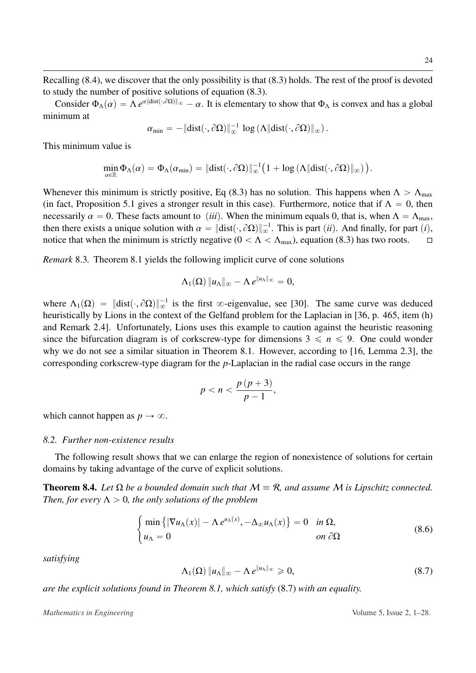Consider  $\Phi_{\Lambda}(\alpha) = \Lambda e^{\alpha ||\text{dist}(\cdot,\partial\Omega)||_{\infty}} - \alpha$ . It is elementary to show that  $\Phi_{\Lambda}$  is convex and has a global nimiliary to minimum at

$$
\alpha_{\min} = -\|\text{dist}(\cdot,\partial\Omega)\|_{\infty}^{-1} \log (\Lambda \|\text{dist}(\cdot,\partial\Omega)\|_{\infty}).
$$

This minimum value is

$$
\min_{\alpha\in\mathbb{R}}\Phi_{\Lambda}(\alpha)=\Phi_{\Lambda}(\alpha_{\min})=\|\text{dist}(\cdot,\partial\Omega)\|_{\infty}^{-1}\big(1+\log\left(\Lambda\|\text{dist}(\cdot,\partial\Omega)\|_{\infty}\right)\big).
$$

Whenever this minimum is strictly positive, Eq [\(8.3\)](#page-22-3) has no solution. This happens when  $\Lambda > \Lambda_{\text{max}}$ (in fact, Proposition [5.1](#page-12-2) gives a stronger result in this case). Furthermore, notice that if  $\Lambda = 0$ , then necessarily  $\alpha = 0$ . These facts amount to *(iii)*. When the minimum equals 0, that is, when  $\Lambda = \Lambda_{\text{max}}$ , then there exists a unique solution with  $\alpha = ||\text{dist}(\cdot, \partial \Omega)||_{\infty}^{-1}$ . This is part *(ii)*. And finally, for part *(i)*, notice that when the minimum is strictly negative  $(0 < \Lambda < \Lambda$ ) equation (8.3) has two roots notice that when the minimum is strictly negative  $(0 < \Lambda < \Lambda_{\text{max}})$ , equation [\(8.3\)](#page-22-3) has two roots.  $\Box$ 

*Remark* 8.3*.* Theorem [8.1](#page-22-0) yields the following implicit curve of cone solutions

$$
\Lambda_1(\Omega)\|u_\Lambda\|_\infty-\Lambda\,e^{\|u_\Lambda\|_\infty}=0,
$$

where  $\Lambda_1(\Omega) = ||\text{dist}(\cdot, \partial \Omega)||_{\infty}^{-1}$  is the first  $\infty$ -eigenvalue, see [\[30\]](#page-28-4). The same curve was deduced heuristically by Lions in the context of the Gelfand problem for the Laplacian in [\[36,](#page-28-14) p. 465, item (h) and Remark 2.4]. Unfortunately, Lions uses this example to caution against the heuristic reasoning since the bifurcation diagram is of corkscrew-type for dimensions  $3 \leq n \leq 9$ . One could wonder why we do not see a similar situation in Theorem [8.1.](#page-22-0) However, according to [\[16,](#page-27-15) Lemma 2.3], the corresponding corkscrew-type diagram for the *p*-Laplacian in the radial case occurs in the range

$$
p < n < \frac{p\left(p+3\right)}{p-1},
$$

which cannot happen as  $p \to \infty$ .

#### *8.2. Further non-existence results*

#

The following result shows that we can enlarge the region of nonexistence of solutions for certain domains by taking advantage of the curve of explicit solutions.

<span id="page-24-0"></span>**Theorem 8.4.** *Let*  $\Omega$  *be a bounded domain such that*  $M \equiv \mathcal{R}$ *, and assume*  $M$  *is Lipschitz connected. Then, for every*  $\Lambda > 0$ *, the only solutions of the problem* 

<span id="page-24-2"></span>
$$
\begin{cases}\n\min\left\{|\nabla u_{\Lambda}(x)| - \Lambda e^{u_{\Lambda}(x)}, -\Delta_{\infty} u_{\Lambda}(x)\right\} = 0 & \text{in } \Omega, \\
u_{\Lambda} = 0 & \text{on } \partial\Omega\n\end{cases}
$$
\n(8.6)

*satisfying*

<span id="page-24-1"></span>
$$
\Lambda_1(\Omega) \|u_{\Lambda}\|_{\infty} - \Lambda e^{\|u_{\Lambda}\|_{\infty}} \geq 0, \qquad (8.7)
$$

*are the explicit solutions found in Theorem [8.1,](#page-22-0) which satisfy* [\(8.7\)](#page-24-1) *with an equality.*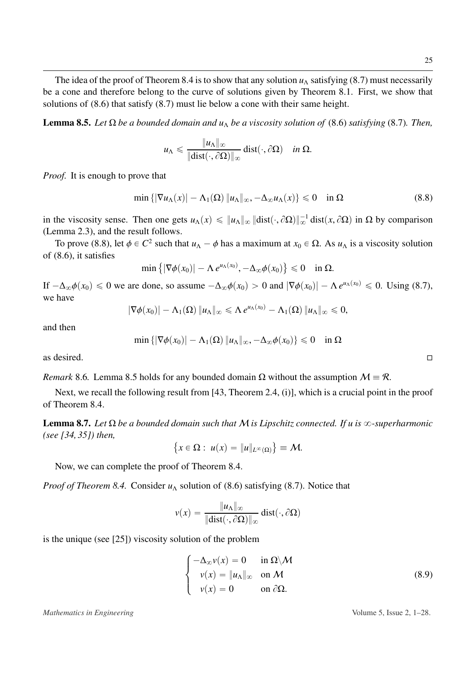The idea of the proof of Theorem [8.4](#page-24-0) is to show that any solution  $u_\Lambda$  satisfying [\(8.7\)](#page-24-1) must necessarily be a cone and therefore belong to the curve of solutions given by Theorem [8.1.](#page-22-0) First, we show that solutions of [\(8.6\)](#page-24-2) that satisfy [\(8.7\)](#page-24-1) must lie below a cone with their same height.

<span id="page-25-1"></span>**Lemma 8.5.** *Let*  $\Omega$  *be a bounded domain and u<sub>* $\Lambda$ *</sub> be a viscosity solution of* [\(8.6\)](#page-24-2) *satisfying* [\(8.7\)](#page-24-1)*. Then,* 

$$
u_{\Lambda} \leqslant \frac{\|u_{\Lambda}\|_{\infty}}{\|\text{dist}(\cdot,\partial \Omega)\|_{\infty}} \text{dist}(\cdot,\partial \Omega) \quad \text{in } \Omega.
$$

*Proof.* It is enough to prove that

<span id="page-25-0"></span>
$$
\min\left\{|\nabla u_{\Lambda}(x)| - \Lambda_1(\Omega)\,|u_{\Lambda}\|_{\infty}, -\Delta_{\infty} u_{\Lambda}(x)\right\} \leq 0 \quad \text{in } \Omega \tag{8.8}
$$

in the viscosity sense. Then one gets  $u_\Lambda(x) \leq \|u_\Lambda\|_\infty \|\text{dist}(\cdot, \partial \Omega)\|_\infty^{-1} \text{dist}(x, \partial \Omega)$  in  $\Omega$  by comparison (Lemma 2.3), and the result follows (Lemma [2.3\)](#page-4-1), and the result follows.

To prove [\(8.8\)](#page-25-0), let  $\phi \in C^2$  such that  $u_\Lambda - \phi$  has a maximum at  $x_0 \in \Omega$ . As  $u_\Lambda$  is a viscosity solution (8.6) it satisfies of [\(8.6\)](#page-24-2), it satisfies (

$$
\min\left\{|\nabla \phi(x_0)| - \Lambda e^{u_\Lambda(x_0)}, -\Delta_\infty \phi(x_0)\right\} \leq 0 \quad \text{in } \Omega.
$$

If  $-\Delta_{\infty}\phi(x_0) \le 0$  we are done, so assume  $-\Delta_{\infty}\phi(x_0) > 0$  and  $|\nabla \phi(x_0)| - \Lambda e^{u_{\Lambda}(x_0)} \le 0$ . Using [\(8.7\)](#page-24-1), we have

$$
|\nabla \phi(x_0)| - \Lambda_1(\Omega) \|u_\Lambda\|_\infty \leqslant \Lambda e^{u_\Lambda(x_0)} - \Lambda_1(\Omega) \|u_\Lambda\|_\infty \leqslant 0,
$$

and then

$$
\min\left\{|\nabla\phi(x_0)|-\Lambda_1(\Omega)\,\|u_\Lambda\|_\infty,-\Delta_\infty\phi(x_0)\right\}\leq 0\quad\text{in }\Omega
$$

as desired.  $\Box$ 

*Remark* 8.6. Lemma [8.5](#page-25-1) holds for any bounded domain  $\Omega$  without the assumption  $\mathcal{M} \equiv \mathcal{R}$ .

Next, we recall the following result from [\[43,](#page-28-15) Theorem 2.4, (i)], which is a crucial point in the proof of Theorem [8.4.](#page-24-0)

<span id="page-25-3"></span>**Lemma 8.7.** *Let* Ω *be a bounded domain such that* M *is Lipschitz connected. If u is*  $\infty$ -superharmonic *(see [\[34,](#page-28-12) [35\]](#page-28-7)) then,* i. (

$$
\{x\in\Omega:\ u(x)=\|u\|_{L^{\infty}(\Omega)}\} \equiv \mathcal{M}.
$$

Now, we can complete the proof of Theorem [8.4.](#page-24-0)

*Proof of Theorem [8.4.](#page-24-0)* Consider  $u_\Lambda$  solution of [\(8.6\)](#page-24-2) satisfying [\(8.7\)](#page-24-1). Notice that

$$
v(x) = \frac{\|u_{\Lambda}\|_{\infty}}{\|\text{dist}(\cdot,\partial\Omega)\|_{\infty}}\,\text{dist}(\cdot,\partial\Omega)
$$

is the unique (see [\[25\]](#page-27-11)) viscosity solution of the problem

<span id="page-25-2"></span>
$$
\begin{cases}\n-\Delta_{\infty} v(x) = 0 & \text{in } \Omega \setminus \mathcal{M} \\
v(x) = \|u_{\Lambda}\|_{\infty} & \text{on } \mathcal{M} \\
v(x) = 0 & \text{on } \partial \Omega.\n\end{cases}
$$
\n(8.9)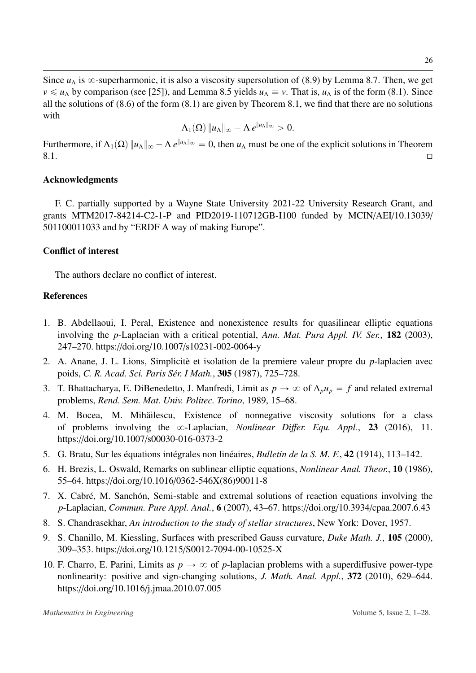Since  $u<sub>\Lambda</sub>$  is  $\infty$ -superharmonic, it is also a viscosity supersolution of [\(8.9\)](#page-25-2) by Lemma [8.7.](#page-25-3) Then, we get  $v \le u_\Lambda$  by comparison (see [\[25\]](#page-27-11)), and Lemma [8.5](#page-25-1) yields  $u_\Lambda \equiv v$ . That is,  $u_\Lambda$  is of the form [\(8.1\)](#page-22-2). Since all the solutions of [\(8.6\)](#page-24-2) of the form [\(8.1\)](#page-22-2) are given by Theorem [8.1,](#page-22-0) we find that there are no solutions with

$$
\Lambda_1(\Omega)\|u_\Lambda\|_\infty-\Lambda\,e^{\|u_\Lambda\|_\infty}>0.
$$

Furthermore, if  $\Lambda_1(\Omega)$   $\|u_\Lambda\|_{\infty} - \Lambda e^{\|u_\Lambda\|_{\infty}} = 0$ , then  $u_\Lambda$  must be one of the explicit solutions in Theorem  $8.1.$ 

## Acknowledgments

F. C. partially supported by a Wayne State University 2021-22 University Research Grant, and grants MTM2017-84214-C2-1-P and PID2019-110712GB-I100 funded by MCIN/AEI/10.13039/ 501100011033 and by "ERDF A way of making Europe".

## Conflict of interest

The authors declare no conflict of interest.

## References

- <span id="page-26-9"></span>1. B. Abdellaoui, I. Peral, Existence and nonexistence results for quasilinear elliptic equations involving the *p*-Laplacian with a critical potential, *Ann. Mat. Pura Appl. IV. Ser.*, 182 (2003), 247–270. https://doi.org/10.1007/[s10231-002-0064-y](http://dx.doi.org/https://doi.org/10.1007/s10231-002-0064-y)
- <span id="page-26-7"></span>2. A. Anane, J. L. Lions, Simplicitè et isolation de la premiere valeur propre du *p*-laplacien avec poids, *C. R. Acad. Sci. Paris S´er. I Math.*, 305 (1987), 725–728.
- <span id="page-26-6"></span>3. T. Bhattacharya, E. DiBenedetto, J. Manfredi, Limit as  $p \to \infty$  of  $\Delta_p u_p = f$  and related extremal problems, *Rend. Sem. Mat. Univ. Politec. Torino*, 1989, 15–68.
- <span id="page-26-4"></span>4. M. Bocea, M. Mihăilescu, Existence of nonnegative viscosity solutions for a class of problems involving the 8-Laplacian, *Nonlinear Di*ff*er. Equ. Appl.*, 23 (2016), 11. https://doi.org/10.1007/[s00030-016-0373-2](http://dx.doi.org/https://doi.org/10.1007/s00030-016-0373-2)
- <span id="page-26-0"></span>5. G. Bratu, Sur les équations intégrales non linéaires, *Bulletin de la S. M. F.*, 42 (1914), 113–142.
- <span id="page-26-8"></span>6. H. Brezis, L. Oswald, Remarks on sublinear elliptic equations, *Nonlinear Anal. Theor.*, 10 (1986), 55–64. https://doi.org/10.1016/[0362-546X\(86\)90011-8](http://dx.doi.org/https://doi.org/10.1016/0362-546X(86)90011-8)
- <span id="page-26-3"></span>7. X. Cabré, M. Sanchón, Semi-stable and extremal solutions of reaction equations involving the *p*-Laplacian, *Commun. Pure Appl. Anal.*, 6 (2007), 43–67. https://doi.org/10.3934/[cpaa.2007.6.43](http://dx.doi.org/https://doi.org/10.3934/cpaa.2007.6.43)
- <span id="page-26-2"></span>8. S. Chandrasekhar, *An introduction to the study of stellar structures*, New York: Dover, 1957.
- <span id="page-26-1"></span>9. S. Chanillo, M. Kiessling, Surfaces with prescribed Gauss curvature, *Duke Math. J.*, 105 (2000), 309–353. https://doi.org/10.1215/[S0012-7094-00-10525-X](http://dx.doi.org/https://doi.org/10.1215/S0012-7094-00-10525-X)
- <span id="page-26-5"></span>10. F. Charro, E. Parini, Limits as  $p \to \infty$  of *p*-laplacian problems with a superdiffusive power-type nonlinearity: positive and sign-changing solutions, *J. Math. Anal. Appl.*, 372 (2010), 629–644. https://doi.org/10.1016/[j.jmaa.2010.07.005](http://dx.doi.org/https://doi.org/10.1016/j.jmaa.2010.07.005)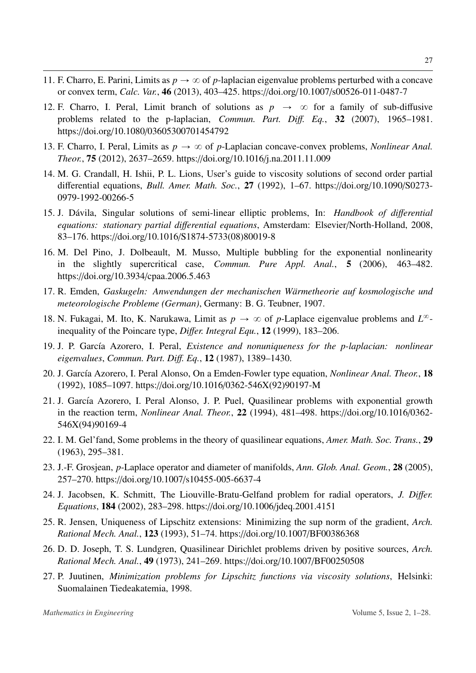- 11. F. Charro, E. Parini, Limits as  $p \to \infty$  of *p*-laplacian eigenvalue problems perturbed with a concave or convex term, *Calc. Var.*, 46 (2013), 403–425. https://doi.org/10.1007/[s00526-011-0487-7](http://dx.doi.org/https://doi.org/10.1007/s00526-011-0487-7)
- <span id="page-27-14"></span>12. F. Charro, I. Peral, Limit branch of solutions as  $p \rightarrow \infty$  for a family of sub-diffusive problems related to the p-laplacian, *Commun. Part. Di*ff*. Eq.*, 32 (2007), 1965–1981. https://doi.org/10.1080/[03605300701454792](http://dx.doi.org/https://doi.org/10.1080/03605300701454792)
- <span id="page-27-7"></span>13. F. Charro, I. Peral, Limits as  $p \to \infty$  of *p*-Laplacian concave-convex problems, *Nonlinear Anal. Theor.*, 75 (2012), 2637–2659. https://doi.org/10.1016/[j.na.2011.11.009](http://dx.doi.org/https://doi.org/10.1016/j.na.2011.11.009)
- <span id="page-27-13"></span>14. M. G. Crandall, H. Ishii, P. L. Lions, User's guide to viscosity solutions of second order partial differential equations, *Bull. Amer. Math. Soc.*, 27 (1992), 1–67. https://doi.org/[10.1090](http://dx.doi.org/https://doi.org/10.1090/S0273-0979-1992-00266-5)/S0273- [0979-1992-00266-5](http://dx.doi.org/https://doi.org/10.1090/S0273-0979-1992-00266-5)
- <span id="page-27-1"></span>15. J. Davila, Singular solutions of semi-linear elliptic problems, In: ´ *Handbook of di*ff*erential equations: stationary partial di*ff*erential equations*, Amsterdam: Elsevier/North-Holland, 2008, 83–176. https://doi.org/10.1016/[S1874-5733\(08\)80019-8](http://dx.doi.org/https://doi.org/10.1016/S1874-5733(08)80019-8)
- <span id="page-27-15"></span>16. M. Del Pino, J. Dolbeault, M. Musso, Multiple bubbling for the exponential nonlinearity in the slightly supercritical case, *Commun. Pure Appl. Anal.*, 5 (2006), 463–482. https://doi.org/10.3934/[cpaa.2006.5.463](http://dx.doi.org/https://doi.org/10.3934/cpaa.2006.5.463)
- <span id="page-27-3"></span>17. R. Emden, Gaskugeln: Anwendungen der mechanischen Wärmetheorie auf kosmologische und *meteorologische Probleme (German)*, Germany: B. G. Teubner, 1907.
- <span id="page-27-8"></span>18. N. Fukagai, M. Ito, K. Narukawa, Limit as  $p \to \infty$  of *p*-Laplace eigenvalue problems and  $L^{\infty}$ inequality of the Poincare type, *Di*ff*er. Integral Equ.*, 12 (1999), 183–206.
- <span id="page-27-12"></span>19. J. P. Garc´ıa Azorero, I. Peral, *Existence and nonuniqueness for the p-laplacian: nonlinear eigenvalues*, *Commun. Part. Di*ff*. Eq.*, 12 (1987), 1389–1430.
- <span id="page-27-4"></span>20. J. Garc´ıa Azorero, I. Peral Alonso, On a Emden-Fowler type equation, *Nonlinear Anal. Theor.*, 18 (1992), 1085–1097. https://doi.org/10.1016/[0362-546X\(92\)90197-M](http://dx.doi.org/https://doi.org/10.1016/0362-546X(92)90197-M)
- <span id="page-27-5"></span>21. J. García Azorero, I. Peral Alonso, J. P. Puel, Quasilinear problems with exponential growth in the reaction term, *Nonlinear Anal. Theor.*, 22 (1994), 481–498. https://doi.org/[10.1016](http://dx.doi.org/https://doi.org/10.1016/0362-546X(94)90169-4)/0362- [546X\(94\)90169-4](http://dx.doi.org/https://doi.org/10.1016/0362-546X(94)90169-4)
- <span id="page-27-0"></span>22. I. M. Gel'fand, Some problems in the theory of quasilinear equations, *Amer. Math. Soc. Trans.*, 29 (1963), 295–381.
- <span id="page-27-9"></span>23. J.-F. Grosjean, *p*-Laplace operator and diameter of manifolds, *Ann. Glob. Anal. Geom.*, 28 (2005), 257–270. https://doi.org/10.1007/[s10455-005-6637-4](http://dx.doi.org/https://doi.org/10.1007/s10455-005-6637-4)
- <span id="page-27-6"></span>24. J. Jacobsen, K. Schmitt, The Liouville-Bratu-Gelfand problem for radial operators, *J. Di*ff*er. Equations*, 184 (2002), 283–298. https://doi.org/10.1006/[jdeq.2001.4151](http://dx.doi.org/https://doi.org/10.1006/jdeq.2001.4151)
- <span id="page-27-11"></span>25. R. Jensen, Uniqueness of Lipschitz extensions: Minimizing the sup norm of the gradient, *Arch. Rational Mech. Anal.*, 123 (1993), 51–74. https://doi.org/10.1007/[BF00386368](http://dx.doi.org/https://doi.org/10.1007/BF00386368)
- <span id="page-27-2"></span>26. D. D. Joseph, T. S. Lundgren, Quasilinear Dirichlet problems driven by positive sources, *Arch. Rational Mech. Anal.*, 49 (1973), 241–269. https://doi.org/10.1007/[BF00250508](http://dx.doi.org/https://doi.org/10.1007/BF00250508)
- <span id="page-27-10"></span>27. P. Juutinen, *Minimization problems for Lipschitz functions via viscosity solutions*, Helsinki: Suomalainen Tiedeakatemia, 1998.